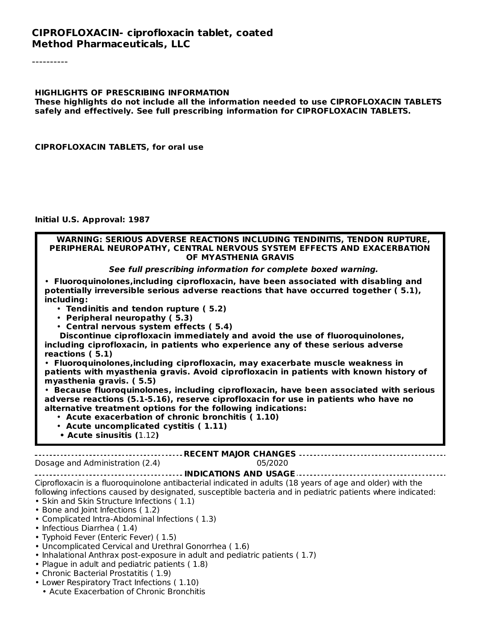#### **CIPROFLOXACIN- ciprofloxacin tablet, coated Method Pharmaceuticals, LLC**

----------

#### **HIGHLIGHTS OF PRESCRIBING INFORMATION**

**These highlights do not include all the information needed to use CIPROFLOXACIN TABLETS safely and effectively. See full prescribing information for CIPROFLOXACIN TABLETS.**

**CIPROFLOXACIN TABLETS, for oral use**

**Initial U.S. Approval: 1987**

#### **WARNING: SERIOUS ADVERSE REACTIONS INCLUDING TENDINITIS, TENDON RUPTURE, PERIPHERAL NEUROPATHY, CENTRAL NERVOUS SYSTEM EFFECTS AND EXACERBATION OF MYASTHENIA GRAVIS**

#### **See full prescribing information for complete boxed warning.**

• **Fluoroquinolones,including ciprofloxacin, have been associated with disabling and potentially irreversible serious adverse reactions that have occurred together ( 5.1), including:**

- **Tendinitis and tendon rupture ( 5.2)**
- **Peripheral neuropathy ( 5.3)**
- **Central nervous system effects ( 5.4)**

**Discontinue ciprofloxacin immediately and avoid the use of fluoroquinolones, including ciprofloxacin, in patients who experience any of these serious adverse reactions ( 5.1)**

• **Fluoroquinolones,including ciprofloxacin, may exacerbate muscle weakness in patients with myasthenia gravis. Avoid ciprofloxacin in patients with known history of myasthenia gravis. ( 5.5)**

• **Because fluoroquinolones, including ciprofloxacin, have been associated with serious adverse reactions (5.1-5.16), reserve ciprofloxacin for use in patients who have no alternative treatment options for the following indications:**

- **Acute exacerbation of chronic bronchitis ( 1.10)**
- **Acute uncomplicated cystitis ( 1.11)**
- **• Acute sinusitis (**1.12**)**

#### **RECENT MAJOR CHANGES**

#### Dosage and Administration (2.4) 05/2020

#### **INDICATIONS AND USAGE**

Ciprofloxacin is a fluoroquinolone antibacterial indicated in adults (18 years of age and older) with the following infections caused by designated, susceptible bacteria and in pediatric patients where indicated: • Skin and Skin Structure Infections ( 1.1)

- Bone and Joint Infections ( 1.2)
- Complicated Intra-Abdominal Infections ( 1.3)
- Infectious Diarrhea (1.4)
- Typhoid Fever (Enteric Fever) ( 1.5)
- Uncomplicated Cervical and Urethral Gonorrhea ( 1.6)
- Inhalational Anthrax post-exposure in adult and pediatric patients ( 1.7)
- Plague in adult and pediatric patients ( 1.8)
- Chronic Bacterial Prostatitis ( 1.9)
- Lower Respiratory Tract Infections ( 1.10)
- Acute Exacerbation of Chronic Bronchitis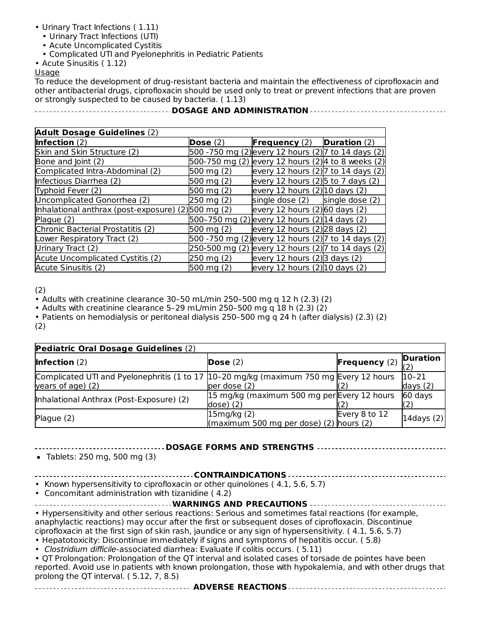- Urinary Tract Infections ( 1.11)
	- Urinary Tract Infections (UTI)
	- Acute Uncomplicated Cystitis
	- Complicated UTI and Pyelonephritis in Pediatric Patients
- Acute Sinusitis ( 1.12)

#### **Usage**

To reduce the development of drug-resistant bacteria and maintain the effectiveness of ciprofloxacin and other antibacterial drugs, ciprofloxacin should be used only to treat or prevent infections that are proven or strongly suspected to be caused by bacteria. ( 1.13)

#### **DOSAGE AND ADMINISTRATION**

| <b>Adult Dosage Guidelines (2)</b>                 |                      |                                                     |                 |
|----------------------------------------------------|----------------------|-----------------------------------------------------|-----------------|
| <b>Infection</b> $(2)$                             | Dose $(2)$           | <b>Frequency</b> $(2)$ <b>Duration</b> $(2)$        |                 |
| Skin and Skin Structure (2)                        |                      | 500 -750 mg (2) every 12 hours (2) 7 to 14 days (2) |                 |
| Bone and Joint (2)                                 |                      | 500-750 mg (2) every 12 hours (2) 4 to 8 weeks (2)  |                 |
| Complicated Intra-Abdominal (2)                    | $500 \text{ mg} (2)$ | every 12 hours (2) 7 to 14 days (2)                 |                 |
| Infectious Diarrhea (2)                            | 500 mg (2)           | every 12 hours $(2)$ to 7 days $(2)$                |                 |
| Typhoid Fever (2)                                  | 500 mg (2)           | every 12 hours $(2)$ 10 days $(2)$                  |                 |
| Uncomplicated Gonorrhea (2)                        | 250 mg (2)           | single dose (2)                                     | single dose (2) |
| Inhalational anthrax (post-exposure) (2)500 mg (2) |                      | every 12 hours $(2)$ 60 days $(2)$                  |                 |
| Plague (2)                                         |                      | 500–750 mg (2) every 12 hours (2) 14 days (2)       |                 |
| Chronic Bacterial Prostatitis (2)                  | 500 mg (2)           | every 12 hours (2) 28 days (2)                      |                 |
| Lower Respiratory Tract (2)                        |                      | 500 -750 mg (2) every 12 hours (2) 7 to 14 days (2) |                 |
| Urinary Tract (2)                                  |                      | 250-500 mg (2) every 12 hours (2) 7 to 14 days (2)  |                 |
| Acute Uncomplicated Cystitis (2)                   | 250 mg (2)           | every 12 hours $(2)$ 3 days $(2)$                   |                 |
| Acute Sinusitis (2)                                | 500 mg (2)           | every 12 hours $(2)$ 10 days $(2)$                  |                 |

(2)

• Adults with creatinine clearance 30–50 mL/min 250–500 mg q 12 h (2.3) (2)

• Adults with creatinine clearance 5–29 mL/min 250–500 mg q 18 h (2.3) (2)

• Patients on hemodialysis or peritoneal dialysis 250–500 mg q 24 h (after dialysis) (2.3) (2) (2)

| Pediatric Oral Dosage Guidelines (2)                                                                          |                                                                     |                        |                         |  |
|---------------------------------------------------------------------------------------------------------------|---------------------------------------------------------------------|------------------------|-------------------------|--|
| Infection $(2)$                                                                                               | Dose $(2)$                                                          | <b>Frequency</b> $(2)$ | <b>Duration</b>         |  |
| Complicated UTI and Pyelonephritis (1 to 17   10-20 mg/kg (maximum 750 mg Every 12 hours<br>years of age) (2) | per dose (2)                                                        |                        | $10 - 21$<br>days $(2)$ |  |
| Inhalational Anthrax (Post-Exposure) (2)                                                                      | 15 mg/kg (maximum 500 mg per Every 12 hours<br>dose) (2)            |                        | 60 days                 |  |
| Plague (2)                                                                                                    | 15mg/kg(2)<br>$\frac{1}{2}$ (maximum 500 mg per dose) (2) hours (2) | Every 8 to 12          | 14days $(2)$            |  |

#### **DOSAGE FORMS AND STRENGTHS**

Tablets: 250 mg, 500 mg (3)

**CONTRAINDICATIONS**

• Known hypersensitivity to ciprofloxacin or other quinolones ( 4.1, 5.6, 5.7)

• Concomitant administration with tizanidine  $(4.2)$ 

| Concommunic durinmouration with tizamumic (Fiz)                                                         |
|---------------------------------------------------------------------------------------------------------|
|                                                                                                         |
|                                                                                                         |
| • Hypersensitivity and other serious reactions: Serious and sometimes fatal reactions (for example,     |
| anaphylactic reactions) may occur after the first or subsequent doses of ciprofloxacin. Discontinue     |
| ciprofloxacin at the first sign of skin rash, jaundice or any sign of hypersensitivity. (4.1, 5.6, 5.7) |
| • Hepatotoxicity: Discontinue immediately if signs and symptoms of hepatitis occur. (5.8)               |
| • Clostridium difficile-associated diarrhea: Evaluate if colitis occurs (5.11)                          |

cile-associated diarrhea: Evaluate if colitis occurs. ( 5.11)

• QT Prolongation: Prolongation of the QT interval and isolated cases of torsade de pointes have been reported. Avoid use in patients with known prolongation, those with hypokalemia, and with other drugs that prolong the QT interval. ( 5.12, 7, 8.5)

**ADVERSE REACTIONS**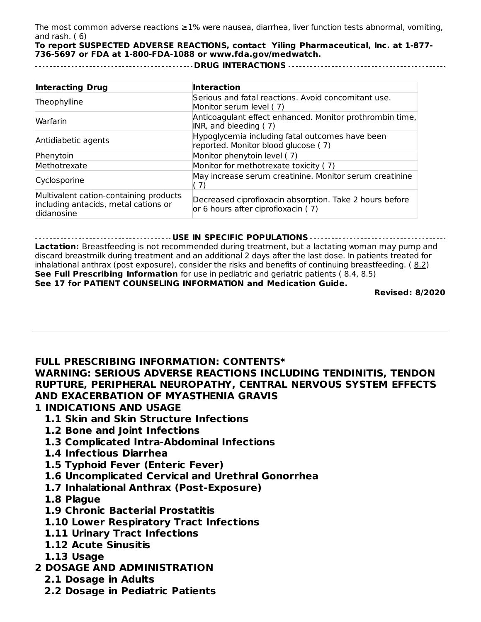The most common adverse reactions ≥1% were nausea, diarrhea, liver function tests abnormal, vomiting, and rash. ( 6)

**To report SUSPECTED ADVERSE REACTIONS, contact Yiling Pharmaceutical, Inc. at 1-877- 736-5697 or FDA at 1-800-FDA-1088 or www.fda.gov/medwatch.**

**DRUG INTERACTIONS**

| <b>Interacting Drug</b>                                                                      | <b>Interaction</b>                                                                            |
|----------------------------------------------------------------------------------------------|-----------------------------------------------------------------------------------------------|
| Theophylline                                                                                 | Serious and fatal reactions. Avoid concomitant use.<br>Monitor serum level (7)                |
| Warfarin                                                                                     | Anticoagulant effect enhanced. Monitor prothrombin time,<br>INR, and bleeding (7)             |
| Antidiabetic agents                                                                          | Hypoglycemia including fatal outcomes have been<br>reported. Monitor blood glucose (7)        |
| Phenytoin                                                                                    | Monitor phenytoin level (7)                                                                   |
| Methotrexate                                                                                 | Monitor for methotrexate toxicity (7)                                                         |
| Cyclosporine                                                                                 | May increase serum creatinine. Monitor serum creatinine<br>(7)                                |
| Multivalent cation-containing products<br>including antacids, metal cations or<br>didanosine | Decreased ciprofloxacin absorption. Take 2 hours before<br>or 6 hours after ciprofloxacin (7) |

#### **USE IN SPECIFIC POPULATIONS**

**Lactation:** Breastfeeding is not recommended during treatment, but a lactating woman may pump and discard breastmilk during treatment and an additional 2 days after the last dose. In patients treated for inhalational anthrax (post exposure), consider the risks and benefits of continuing breastfeeding. ( 8.2) **See Full Prescribing Information** for use in pediatric and geriatric patients ( 8.4, 8.5) **See 17 for PATIENT COUNSELING INFORMATION and Medication Guide.**

**Revised: 8/2020**

**FULL PRESCRIBING INFORMATION: CONTENTS\* WARNING: SERIOUS ADVERSE REACTIONS INCLUDING TENDINITIS, TENDON RUPTURE, PERIPHERAL NEUROPATHY, CENTRAL NERVOUS SYSTEM EFFECTS AND EXACERBATION OF MYASTHENIA GRAVIS**

- **1 INDICATIONS AND USAGE**
	- **1.1 Skin and Skin Structure Infections**
	- **1.2 Bone and Joint Infections**
	- **1.3 Complicated Intra-Abdominal Infections**
	- **1.4 Infectious Diarrhea**
	- **1.5 Typhoid Fever (Enteric Fever)**
	- **1.6 Uncomplicated Cervical and Urethral Gonorrhea**
	- **1.7 Inhalational Anthrax (Post-Exposure)**
	- **1.8 Plague**
	- **1.9 Chronic Bacterial Prostatitis**
	- **1.10 Lower Respiratory Tract Infections**
	- **1.11 Urinary Tract Infections**
	- **1.12 Acute Sinusitis**
	- **1.13 Usage**
- **2 DOSAGE AND ADMINISTRATION**
	- **2.1 Dosage in Adults**
	- **2.2 Dosage in Pediatric Patients**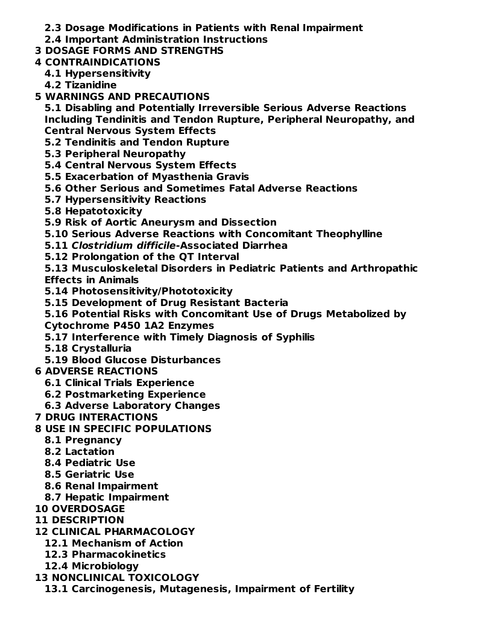- **2.3 Dosage Modifications in Patients with Renal Impairment**
- **2.4 Important Administration Instructions**
- **3 DOSAGE FORMS AND STRENGTHS**
- **4 CONTRAINDICATIONS**
	- **4.1 Hypersensitivity**
	- **4.2 Tizanidine**
- **5 WARNINGS AND PRECAUTIONS**
	- **5.1 Disabling and Potentially Irreversible Serious Adverse Reactions Including Tendinitis and Tendon Rupture, Peripheral Neuropathy, and Central Nervous System Effects**
	- **5.2 Tendinitis and Tendon Rupture**
	- **5.3 Peripheral Neuropathy**
	- **5.4 Central Nervous System Effects**
	- **5.5 Exacerbation of Myasthenia Gravis**
	- **5.6 Other Serious and Sometimes Fatal Adverse Reactions**
	- **5.7 Hypersensitivity Reactions**
	- **5.8 Hepatotoxicity**
	- **5.9 Risk of Aortic Aneurysm and Dissection**
	- **5.10 Serious Adverse Reactions with Concomitant Theophylline**
	- **5.11 Clostridium difficile-Associated Diarrhea**
	- **5.12 Prolongation of the QT Interval**
	- **5.13 Musculoskeletal Disorders in Pediatric Patients and Arthropathic Effects in Animals**
	- **5.14 Photosensitivity/Phototoxicity**
	- **5.15 Development of Drug Resistant Bacteria**
	- **5.16 Potential Risks with Concomitant Use of Drugs Metabolized by**
	- **Cytochrome P450 1A2 Enzymes**
	- **5.17 Interference with Timely Diagnosis of Syphilis**
	- **5.18 Crystalluria**
	- **5.19 Blood Glucose Disturbances**
- **6 ADVERSE REACTIONS**
	- **6.1 Clinical Trials Experience**
	- **6.2 Postmarketing Experience**
	- **6.3 Adverse Laboratory Changes**
- **7 DRUG INTERACTIONS**
- **8 USE IN SPECIFIC POPULATIONS**
	- **8.1 Pregnancy**
	- **8.2 Lactation**
	- **8.4 Pediatric Use**
	- **8.5 Geriatric Use**
	- **8.6 Renal Impairment**
	- **8.7 Hepatic Impairment**
- **10 OVERDOSAGE**
- **11 DESCRIPTION**
- **12 CLINICAL PHARMACOLOGY**
	- **12.1 Mechanism of Action**
	- **12.3 Pharmacokinetics**
	- **12.4 Microbiology**
- **13 NONCLINICAL TOXICOLOGY**
- **13.1 Carcinogenesis, Mutagenesis, Impairment of Fertility**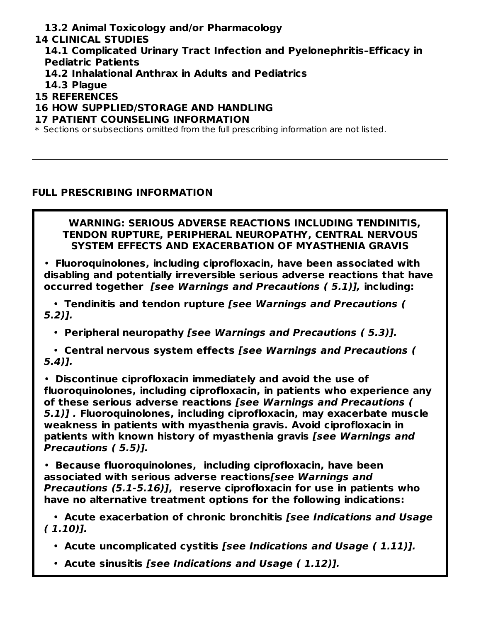**13.2 Animal Toxicology and/or Pharmacology**

#### **14 CLINICAL STUDIES**

**14.1 Complicated Urinary Tract Infection and Pyelonephritis–Efficacy in Pediatric Patients**

- **14.2 Inhalational Anthrax in Adults and Pediatrics**
- **14.3 Plague**
- **15 REFERENCES**

#### **16 HOW SUPPLIED/STORAGE AND HANDLING**

#### **17 PATIENT COUNSELING INFORMATION**

 $\ast$  Sections or subsections omitted from the full prescribing information are not listed.

#### **FULL PRESCRIBING INFORMATION**

#### **WARNING: SERIOUS ADVERSE REACTIONS INCLUDING TENDINITIS, TENDON RUPTURE, PERIPHERAL NEUROPATHY, CENTRAL NERVOUS SYSTEM EFFECTS AND EXACERBATION OF MYASTHENIA GRAVIS**

• **Fluoroquinolones, including ciprofloxacin, have been associated with disabling and potentially irreversible serious adverse reactions that have occurred together [see Warnings and Precautions ( 5.1)], including:**

• **Tendinitis and tendon rupture [see Warnings and Precautions ( 5.2)].**

• **Peripheral neuropathy [see Warnings and Precautions ( 5.3)].**

• **Central nervous system effects [see Warnings and Precautions ( 5.4)].**

• **Discontinue ciprofloxacin immediately and avoid the use of fluoroquinolones, including ciprofloxacin, in patients who experience any of these serious adverse reactions [see Warnings and Precautions ( 5.1)] . Fluoroquinolones, including ciprofloxacin, may exacerbate muscle weakness in patients with myasthenia gravis. Avoid ciprofloxacin in patients with known history of myasthenia gravis [see Warnings and Precautions ( 5.5)].**

• **Because fluoroquinolones, including ciprofloxacin, have been associated with serious adverse reactions[see Warnings and Precautions (5.1-5.16)], reserve ciprofloxacin for use in patients who have no alternative treatment options for the following indications:**

• **Acute exacerbation of chronic bronchitis [see Indications and Usage ( 1.10)].**

- **Acute uncomplicated cystitis [see Indications and Usage ( 1.11)].**
- **Acute sinusitis [see Indications and Usage ( 1.12)].**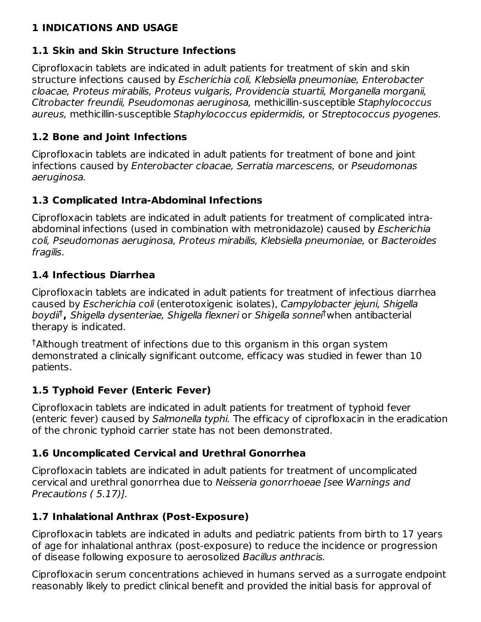## **1 INDICATIONS AND USAGE**

### **1.1 Skin and Skin Structure Infections**

Ciprofloxacin tablets are indicated in adult patients for treatment of skin and skin structure infections caused by Escherichia coli, Klebsiella pneumoniae, Enterobacter cloacae, Proteus mirabilis, Proteus vulgaris, Providencia stuartii, Morganella morganii, Citrobacter freundii, Pseudomonas aeruginosa, methicillin-susceptible Staphylococcus aureus, methicillin-susceptible Staphylococcus epidermidis, or Streptococcus pyogenes.

## **1.2 Bone and Joint Infections**

Ciprofloxacin tablets are indicated in adult patients for treatment of bone and joint infections caused by Enterobacter cloacae, Serratia marcescens, or Pseudomonas aeruginosa.

## **1.3 Complicated Intra-Abdominal Infections**

Ciprofloxacin tablets are indicated in adult patients for treatment of complicated intraabdominal infections (used in combination with metronidazole) caused by Escherichia coli, Pseudomonas aeruginosa, Proteus mirabilis, Klebsiella pneumoniae, or Bacteroides fragilis.

## **1.4 Infectious Diarrhea**

Ciprofloxacin tablets are indicated in adult patients for treatment of infectious diarrhea caused by Escherichia coli (enterotoxigenic isolates), Campylobacter jejuni, Shigella boydii<sup>t</sup>, Shigella dysenteriae, Shigella flexneri or Shigella sonnei<sup>t</sup> when antibacterial therapy is indicated.

 $^\dagger$ Although treatment of infections due to this organism in this organ system demonstrated a clinically significant outcome, efficacy was studied in fewer than 10 patients.

# **1.5 Typhoid Fever (Enteric Fever)**

Ciprofloxacin tablets are indicated in adult patients for treatment of typhoid fever (enteric fever) caused by Salmonella typhi. The efficacy of ciprofloxacin in the eradication of the chronic typhoid carrier state has not been demonstrated.

### **1.6 Uncomplicated Cervical and Urethral Gonorrhea**

Ciprofloxacin tablets are indicated in adult patients for treatment of uncomplicated cervical and urethral gonorrhea due to Neisseria gonorrhoeae [see Warnings and Precautions ( 5.17)].

# **1.7 Inhalational Anthrax (Post-Exposure)**

Ciprofloxacin tablets are indicated in adults and pediatric patients from birth to 17 years of age for inhalational anthrax (post-exposure) to reduce the incidence or progression of disease following exposure to aerosolized Bacillus anthracis.

Ciprofloxacin serum concentrations achieved in humans served as a surrogate endpoint reasonably likely to predict clinical benefit and provided the initial basis for approval of 1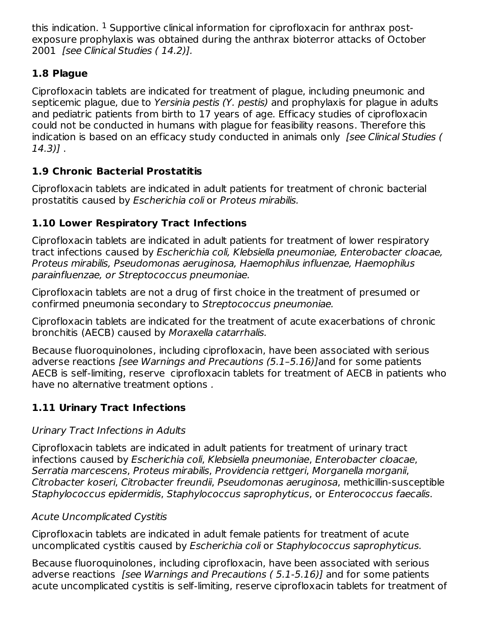this indication.  $^1$  Supportive clinical information for ciprofloxacin for anthrax postexposure prophylaxis was obtained during the anthrax bioterror attacks of October 2001 [see Clinical Studies (14.2)].

# **1.8 Plague**

Ciprofloxacin tablets are indicated for treatment of plague, including pneumonic and septicemic plague, due to Yersinia pestis (Y. pestis) and prophylaxis for plague in adults and pediatric patients from birth to 17 years of age. Efficacy studies of ciprofloxacin could not be conducted in humans with plague for feasibility reasons. Therefore this indication is based on an efficacy study conducted in animals only [see Clinical Studies ( 14.3)] .

# **1.9 Chronic Bacterial Prostatitis**

Ciprofloxacin tablets are indicated in adult patients for treatment of chronic bacterial prostatitis caused by Escherichia coli or Proteus mirabilis.

# **1.10 Lower Respiratory Tract Infections**

Ciprofloxacin tablets are indicated in adult patients for treatment of lower respiratory tract infections caused by Escherichia coli, Klebsiella pneumoniae, Enterobacter cloacae, Proteus mirabilis, Pseudomonas aeruginosa, Haemophilus influenzae, Haemophilus parainfluenzae, or Streptococcus pneumoniae.

Ciprofloxacin tablets are not a drug of first choice in the treatment of presumed or confirmed pneumonia secondary to Streptococcus pneumoniae.

Ciprofloxacin tablets are indicated for the treatment of acute exacerbations of chronic bronchitis (AECB) caused by Moraxella catarrhalis.

Because fluoroquinolones, including ciprofloxacin, have been associated with serious adverse reactions [see Warnings and Precautions (5.1–5.16)]and for some patients AECB is self-limiting, reserve ciprofloxacin tablets for treatment of AECB in patients who have no alternative treatment options .

# **1.11 Urinary Tract Infections**

# Urinary Tract Infections in Adults

Ciprofloxacin tablets are indicated in adult patients for treatment of urinary tract infections caused by Escherichia coli, Klebsiella pneumoniae, Enterobacter cloacae, Serratia marcescens, Proteus mirabilis, Providencia rettgeri, Morganella morganii, Citrobacter koseri, Citrobacter freundii, Pseudomonas aeruginosa, methicillin-susceptible Staphylococcus epidermidis, Staphylococcus saprophyticus, or Enterococcus faecalis.

# Acute Uncomplicated Cystitis

Ciprofloxacin tablets are indicated in adult female patients for treatment of acute uncomplicated cystitis caused by Escherichia coli or Staphylococcus saprophyticus.

Because fluoroquinolones, including ciprofloxacin, have been associated with serious adverse reactions [see Warnings and Precautions ( 5.1-5.16)] and for some patients acute uncomplicated cystitis is self-limiting, reserve ciprofloxacin tablets for treatment of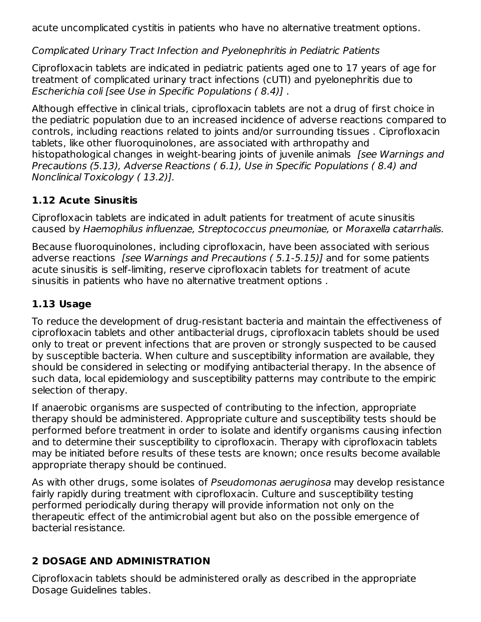acute uncomplicated cystitis in patients who have no alternative treatment options.

Complicated Urinary Tract Infection and Pyelonephritis in Pediatric Patients

Ciprofloxacin tablets are indicated in pediatric patients aged one to 17 years of age for treatment of complicated urinary tract infections (cUTI) and pyelonephritis due to Escherichia coli [see Use in Specific Populations ( 8.4)] .

Although effective in clinical trials, ciprofloxacin tablets are not a drug of first choice in the pediatric population due to an increased incidence of adverse reactions compared to controls, including reactions related to joints and/or surrounding tissues . Ciprofloxacin tablets, like other fluoroquinolones, are associated with arthropathy and histopathological changes in weight-bearing joints of juvenile animals [see Warnings and Precautions (5.13), Adverse Reactions ( 6.1), Use in Specific Populations ( 8.4) and Nonclinical Toxicology ( 13.2)].

# **1.12 Acute Sinusitis**

Ciprofloxacin tablets are indicated in adult patients for treatment of acute sinusitis caused by Haemophilus influenzae, Streptococcus pneumoniae, or Moraxella catarrhalis.

Because fluoroquinolones, including ciprofloxacin, have been associated with serious adverse reactions *[see Warnings and Precautions (5.1-5.15)]* and for some patients acute sinusitis is self-limiting, reserve ciprofloxacin tablets for treatment of acute sinusitis in patients who have no alternative treatment options .

# **1.13 Usage**

To reduce the development of drug-resistant bacteria and maintain the effectiveness of ciprofloxacin tablets and other antibacterial drugs, ciprofloxacin tablets should be used only to treat or prevent infections that are proven or strongly suspected to be caused by susceptible bacteria. When culture and susceptibility information are available, they should be considered in selecting or modifying antibacterial therapy. In the absence of such data, local epidemiology and susceptibility patterns may contribute to the empiric selection of therapy.

If anaerobic organisms are suspected of contributing to the infection, appropriate therapy should be administered. Appropriate culture and susceptibility tests should be performed before treatment in order to isolate and identify organisms causing infection and to determine their susceptibility to ciprofloxacin. Therapy with ciprofloxacin tablets may be initiated before results of these tests are known; once results become available appropriate therapy should be continued.

As with other drugs, some isolates of Pseudomonas aeruginosa may develop resistance fairly rapidly during treatment with ciprofloxacin. Culture and susceptibility testing performed periodically during therapy will provide information not only on the therapeutic effect of the antimicrobial agent but also on the possible emergence of bacterial resistance.

# **2 DOSAGE AND ADMINISTRATION**

Ciprofloxacin tablets should be administered orally as described in the appropriate Dosage Guidelines tables.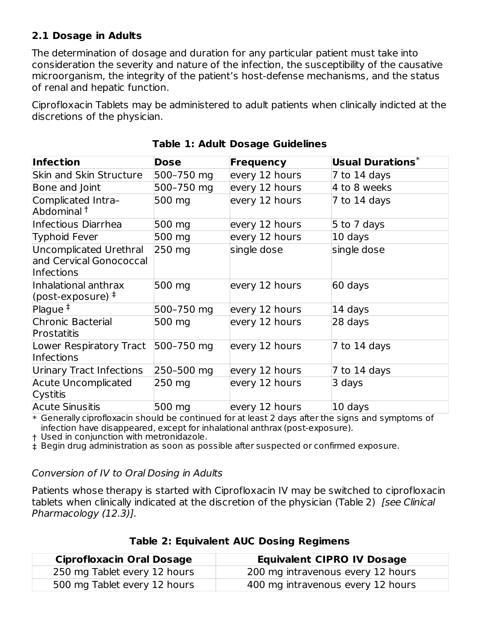### **2.1 Dosage in Adults**

The determination of dosage and duration for any particular patient must take into consideration the severity and nature of the infection, the susceptibility of the causative microorganism, the integrity of the patient's host-defense mechanisms, and the status of renal and hepatic function.

Ciprofloxacin Tablets may be administered to adult patients when clinically indicted at the discretions of the physician.

| <b>Infection</b>                                                | <b>Dose</b> | <b>Frequency</b> | Usual Durations $^*$ |
|-----------------------------------------------------------------|-------------|------------------|----------------------|
| <b>Skin and Skin Structure</b>                                  | 500-750 mg  | every 12 hours   | 7 to 14 days         |
| Bone and Joint                                                  | 500-750 mg  | every 12 hours   | 4 to 8 weeks         |
| Complicated Intra-<br>Abdominal <sup>†</sup>                    | 500 mg      | every 12 hours   | 7 to 14 days         |
| Infectious Diarrhea                                             | 500 mg      | every 12 hours   | 5 to 7 days          |
| <b>Typhoid Fever</b>                                            | 500 mg      | every 12 hours   | 10 days              |
| Uncomplicated Urethral<br>and Cervical Gonococcal<br>Infections | 250 mg      | single dose      | single dose          |
| Inhalational anthrax<br>(post-exposure) $\pm$                   | 500 mg      | every 12 hours   | 60 days              |
| Plague $‡$                                                      | 500-750 mg  | every 12 hours   | 14 days              |
| Chronic Bacterial<br>Prostatitis                                | 500 mg      | every 12 hours   | 28 days              |
| Lower Respiratory Tract<br>Infections                           | 500-750 mg  | every 12 hours   | 7 to 14 days         |
| Urinary Tract Infections                                        | 250-500 mg  | every 12 hours   | 7 to 14 days         |
| <b>Acute Uncomplicated</b><br>Cystitis                          | 250 mg      | every 12 hours   | 3 days               |
| <b>Acute Sinusitis</b>                                          | 500 mg      | every 12 hours   | 10 days              |

|  |  |  |  | <b>Table 1: Adult Dosage Guidelines</b> |
|--|--|--|--|-----------------------------------------|
|--|--|--|--|-----------------------------------------|

 $\ast$  Generally ciprofloxacin should be continued for at least 2 days after the signs and symptoms of infection have disappeared, except for inhalational anthrax (post-exposure).

† Used in conjunction with metronidazole.

‡ Begin drug administration as soon as possible after suspected or confirmed exposure.

#### Conversion of IV to Oral Dosing in Adults

Patients whose therapy is started with Ciprofloxacin IV may be switched to ciprofloxacin tablets when clinically indicated at the discretion of the physician (Table 2) [see Clinical Pharmacology (12.3)].

| <b>Ciprofloxacin Oral Dosage</b> | <b>Equivalent CIPRO IV Dosage</b> |
|----------------------------------|-----------------------------------|
| 250 mg Tablet every 12 hours     | 200 mg intravenous every 12 hours |
| 500 mg Tablet every 12 hours     | 400 mg intravenous every 12 hours |

**Table 2: Equivalent AUC Dosing Regimens**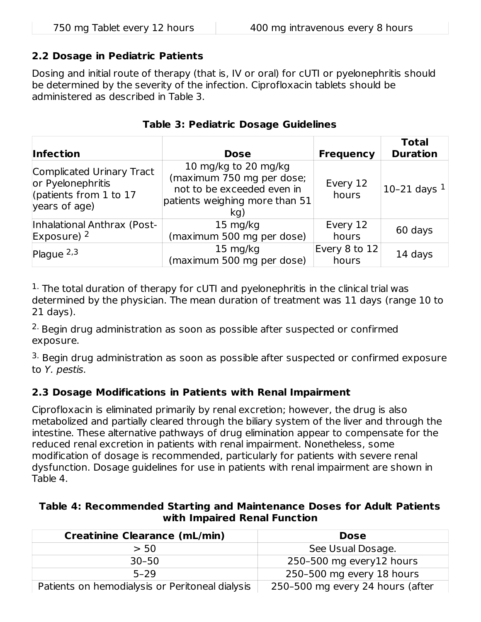#### **2.2 Dosage in Pediatric Patients**

Dosing and initial route of therapy (that is, IV or oral) for cUTI or pyelonephritis should be determined by the severity of the infection. Ciprofloxacin tablets should be administered as described in Table 3.

| <b>Infection</b>                                                                            | <b>Dose</b>                                                                                                              | <b>Frequency</b>       | <b>Total</b><br><b>Duration</b> |
|---------------------------------------------------------------------------------------------|--------------------------------------------------------------------------------------------------------------------------|------------------------|---------------------------------|
| Complicated Urinary Tract<br>or Pyelonephritis<br>(patients from 1 to $17$<br>years of age) | 10 mg/kg to 20 mg/kg<br>(maximum 750 mg per dose;<br>not to be exceeded even in<br>patients weighing more than 51<br>kg) | Every 12<br>hours      | 10-21 days $1 $                 |
| Inhalational Anthrax (Post-<br>$\mathsf{Exposure}$ ) 2                                      | $15 \text{ mg/kg}$<br>(maximum 500 mg per dose)                                                                          | Every 12<br>hours      | 60 days                         |
| Plaque $2,3$                                                                                | $15 \text{ mg/kg}$<br>(maximum 500 mg per dose)                                                                          | Every 8 to 12<br>hours | 14 days                         |

#### **Table 3: Pediatric Dosage Guidelines**

 $1$ . The total duration of therapy for cUTI and pyelonephritis in the clinical trial was determined by the physician. The mean duration of treatment was 11 days (range 10 to 21 days).

 $2$ . Begin drug administration as soon as possible after suspected or confirmed exposure.

 $3.$  Begin drug administration as soon as possible after suspected or confirmed exposure to Y. pestis.

### **2.3 Dosage Modifications in Patients with Renal Impairment**

Ciprofloxacin is eliminated primarily by renal excretion; however, the drug is also metabolized and partially cleared through the biliary system of the liver and through the intestine. These alternative pathways of drug elimination appear to compensate for the reduced renal excretion in patients with renal impairment. Nonetheless, some modification of dosage is recommended, particularly for patients with severe renal dysfunction. Dosage guidelines for use in patients with renal impairment are shown in Table 4.

#### **Table 4: Recommended Starting and Maintenance Doses for Adult Patients with Impaired Renal Function**

| <b>Creatinine Clearance (mL/min)</b>            | <b>Dose</b>                      |
|-------------------------------------------------|----------------------------------|
| > 50                                            | See Usual Dosage.                |
| $30 - 50$                                       | 250-500 mg every12 hours         |
| $5 - 29$                                        | 250-500 mg every 18 hours        |
| Patients on hemodialysis or Peritoneal dialysis | 250-500 mg every 24 hours (after |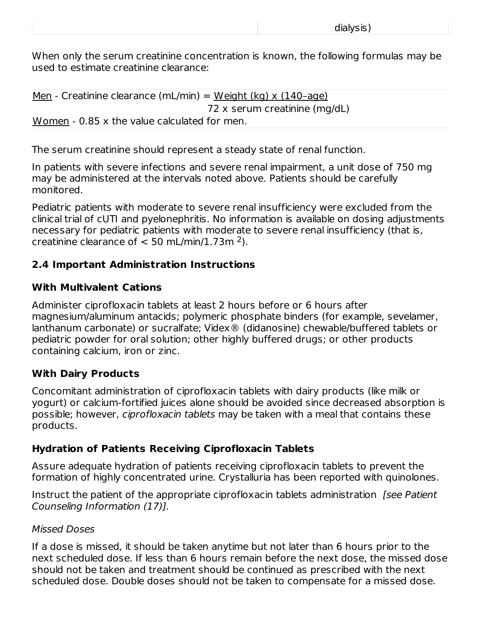When only the serum creatinine concentration is known, the following formulas may be used to estimate creatinine clearance:

Men - Creatinine clearance (mL/min) = Weight (kg) x  $(140$ -age) 72 x serum creatinine (mg/dL) Women - 0.85 x the value calculated for men.

The serum creatinine should represent a steady state of renal function.

In patients with severe infections and severe renal impairment, a unit dose of 750 mg may be administered at the intervals noted above. Patients should be carefully monitored.

Pediatric patients with moderate to severe renal insufficiency were excluded from the clinical trial of cUTI and pyelonephritis. No information is available on dosing adjustments necessary for pediatric patients with moderate to severe renal insufficiency (that is, creatinine clearance of  $< 50$  mL/min/1.73m<sup>2</sup>).

#### **2.4 Important Administration Instructions**

#### **With Multivalent Cations**

Administer ciprofloxacin tablets at least 2 hours before or 6 hours after magnesium/aluminum antacids; polymeric phosphate binders (for example, sevelamer, lanthanum carbonate) or sucralfate; Videx® (didanosine) chewable/buffered tablets or pediatric powder for oral solution; other highly buffered drugs; or other products containing calcium, iron or zinc.

#### **With Dairy Products**

Concomitant administration of ciprofloxacin tablets with dairy products (like milk or yogurt) or calcium-fortified juices alone should be avoided since decreased absorption is possible; however, *ciprofloxacin tablets* may be taken with a meal that contains these products.

#### **Hydration of Patients Receiving Ciprofloxacin Tablets**

Assure adequate hydration of patients receiving ciprofloxacin tablets to prevent the formation of highly concentrated urine. Crystalluria has been reported with quinolones.

Instruct the patient of the appropriate ciprofloxacin tablets administration [see Patient] Counseling Information (17)].

#### Missed Doses

If a dose is missed, it should be taken anytime but not later than 6 hours prior to the next scheduled dose. If less than 6 hours remain before the next dose, the missed dose should not be taken and treatment should be continued as prescribed with the next scheduled dose. Double doses should not be taken to compensate for a missed dose.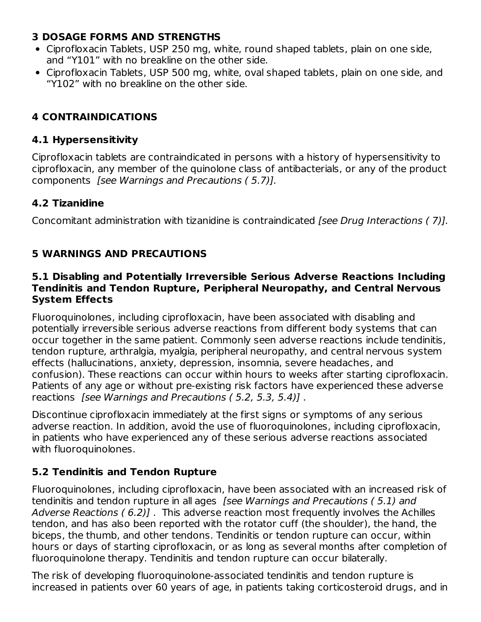### **3 DOSAGE FORMS AND STRENGTHS**

- Ciprofloxacin Tablets, USP 250 mg, white, round shaped tablets, plain on one side, and "Y101" with no breakline on the other side.
- Ciprofloxacin Tablets, USP 500 mg, white, oval shaped tablets, plain on one side, and "Y102" with no breakline on the other side.

## **4 CONTRAINDICATIONS**

#### **4.1 Hypersensitivity**

Ciprofloxacin tablets are contraindicated in persons with a history of hypersensitivity to ciprofloxacin, any member of the quinolone class of antibacterials, or any of the product components [see Warnings and Precautions ( 5.7)].

### **4.2 Tizanidine**

Concomitant administration with tizanidine is contraindicated [see Drug Interactions ( 7)].

# **5 WARNINGS AND PRECAUTIONS**

#### **5.1 Disabling and Potentially Irreversible Serious Adverse Reactions Including Tendinitis and Tendon Rupture, Peripheral Neuropathy, and Central Nervous System Effects**

Fluoroquinolones, including ciprofloxacin, have been associated with disabling and potentially irreversible serious adverse reactions from different body systems that can occur together in the same patient. Commonly seen adverse reactions include tendinitis, tendon rupture, arthralgia, myalgia, peripheral neuropathy, and central nervous system effects (hallucinations, anxiety, depression, insomnia, severe headaches, and confusion). These reactions can occur within hours to weeks after starting ciprofloxacin. Patients of any age or without pre-existing risk factors have experienced these adverse reactions [see Warnings and Precautions ( 5.2, 5.3, 5.4)] .

Discontinue ciprofloxacin immediately at the first signs or symptoms of any serious adverse reaction. In addition, avoid the use of fluoroquinolones, including ciprofloxacin, in patients who have experienced any of these serious adverse reactions associated with fluoroquinolones.

### **5.2 Tendinitis and Tendon Rupture**

Fluoroquinolones, including ciprofloxacin, have been associated with an increased risk of tendinitis and tendon rupture in all ages [see Warnings and Precautions ( 5.1) and Adverse Reactions ( 6.2)] . This adverse reaction most frequently involves the Achilles tendon, and has also been reported with the rotator cuff (the shoulder), the hand, the biceps, the thumb, and other tendons. Tendinitis or tendon rupture can occur, within hours or days of starting ciprofloxacin, or as long as several months after completion of fluoroquinolone therapy. Tendinitis and tendon rupture can occur bilaterally.

The risk of developing fluoroquinolone-associated tendinitis and tendon rupture is increased in patients over 60 years of age, in patients taking corticosteroid drugs, and in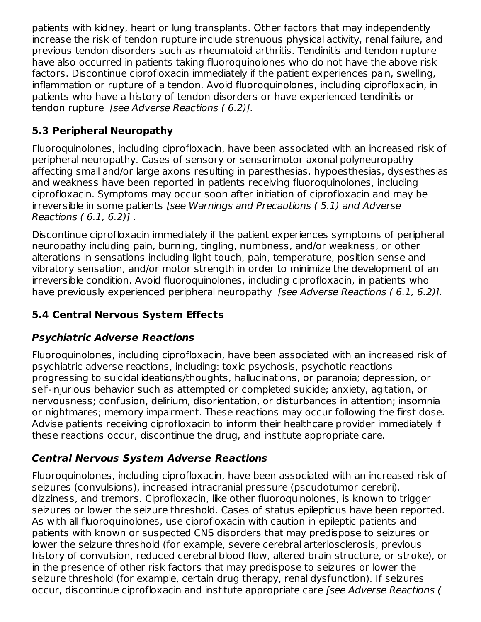patients with kidney, heart or lung transplants. Other factors that may independently increase the risk of tendon rupture include strenuous physical activity, renal failure, and previous tendon disorders such as rheumatoid arthritis. Tendinitis and tendon rupture have also occurred in patients taking fluoroquinolones who do not have the above risk factors. Discontinue ciprofloxacin immediately if the patient experiences pain, swelling, inflammation or rupture of a tendon. Avoid fluoroquinolones, including ciprofloxacin, in patients who have a history of tendon disorders or have experienced tendinitis or tendon rupture [see Adverse Reactions ( 6.2)].

# **5.3 Peripheral Neuropathy**

Fluoroquinolones, including ciprofloxacin, have been associated with an increased risk of peripheral neuropathy. Cases of sensory or sensorimotor axonal polyneuropathy affecting small and/or large axons resulting in paresthesias, hypoesthesias, dysesthesias and weakness have been reported in patients receiving fluoroquinolones, including ciprofloxacin. Symptoms may occur soon after initiation of ciprofloxacin and may be irreversible in some patients [see Warnings and Precautions ( 5.1) and Adverse Reactions ( 6.1, 6.2)] .

Discontinue ciprofloxacin immediately if the patient experiences symptoms of peripheral neuropathy including pain, burning, tingling, numbness, and/or weakness, or other alterations in sensations including light touch, pain, temperature, position sense and vibratory sensation, and/or motor strength in order to minimize the development of an irreversible condition. Avoid fluoroquinolones, including ciprofloxacin, in patients who have previously experienced peripheral neuropathy *[see Adverse Reactions (6.1, 6.2)].* 

# **5.4 Central Nervous System Effects**

# **Psychiatric Adverse Reactions**

Fluoroquinolones, including ciprofloxacin, have been associated with an increased risk of psychiatric adverse reactions, including: toxic psychosis, psychotic reactions progressing to suicidal ideations/thoughts, hallucinations, or paranoia; depression, or self-injurious behavior such as attempted or completed suicide; anxiety, agitation, or nervousness; confusion, delirium, disorientation, or disturbances in attention; insomnia or nightmares; memory impairment. These reactions may occur following the first dose. Advise patients receiving ciprofloxacin to inform their healthcare provider immediately if these reactions occur, discontinue the drug, and institute appropriate care.

# **Central Nervous System Adverse Reactions**

Fluoroquinolones, including ciprofloxacin, have been associated with an increased risk of seizures (convulsions), increased intracranial pressure (pscudotumor cerebri), dizziness, and tremors. Ciprofloxacin, like other fluoroquinolones, is known to trigger seizures or lower the seizure threshold. Cases of status epilepticus have been reported. As with all fluoroquinolones, use ciprofloxacin with caution in epileptic patients and patients with known or suspected CNS disorders that may predispose to seizures or lower the seizure threshold (for example, severe cerebral arteriosclerosis, previous history of convulsion, reduced cerebral blood flow, altered brain structure, or stroke), or in the presence of other risk factors that may predispose to seizures or lower the seizure threshold (for example, certain drug therapy, renal dysfunction). If seizures occur, discontinue ciprofloxacin and institute appropriate care [see Adverse Reactions (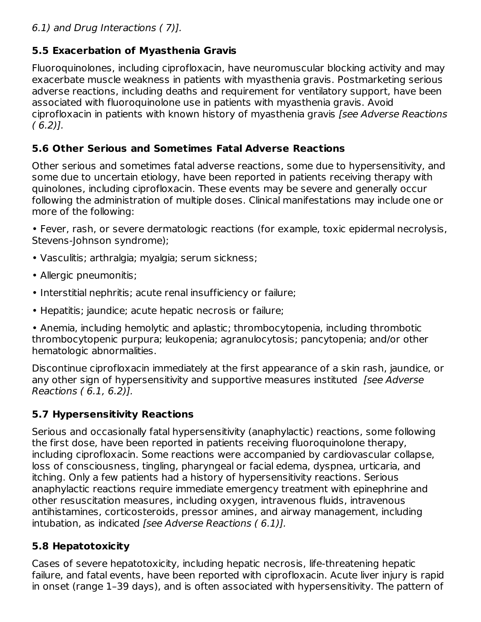# **5.5 Exacerbation of Myasthenia Gravis**

Fluoroquinolones, including ciprofloxacin, have neuromuscular blocking activity and may exacerbate muscle weakness in patients with myasthenia gravis. Postmarketing serious adverse reactions, including deaths and requirement for ventilatory support, have been associated with fluoroquinolone use in patients with myasthenia gravis. Avoid ciprofloxacin in patients with known history of myasthenia gravis [see Adverse Reactions  $(6.2)$ ].

## **5.6 Other Serious and Sometimes Fatal Adverse Reactions**

Other serious and sometimes fatal adverse reactions, some due to hypersensitivity, and some due to uncertain etiology, have been reported in patients receiving therapy with quinolones, including ciprofloxacin. These events may be severe and generally occur following the administration of multiple doses. Clinical manifestations may include one or more of the following:

• Fever, rash, or severe dermatologic reactions (for example, toxic epidermal necrolysis, Stevens-Johnson syndrome);

- Vasculitis; arthralgia; myalgia; serum sickness;
- Allergic pneumonitis;
- Interstitial nephritis; acute renal insufficiency or failure;
- Hepatitis; jaundice; acute hepatic necrosis or failure;

• Anemia, including hemolytic and aplastic; thrombocytopenia, including thrombotic thrombocytopenic purpura; leukopenia; agranulocytosis; pancytopenia; and/or other hematologic abnormalities.

Discontinue ciprofloxacin immediately at the first appearance of a skin rash, jaundice, or any other sign of hypersensitivity and supportive measures instituted [see Adverse Reactions ( 6.1, 6.2)].

# **5.7 Hypersensitivity Reactions**

Serious and occasionally fatal hypersensitivity (anaphylactic) reactions, some following the first dose, have been reported in patients receiving fluoroquinolone therapy, including ciprofloxacin. Some reactions were accompanied by cardiovascular collapse, loss of consciousness, tingling, pharyngeal or facial edema, dyspnea, urticaria, and itching. Only a few patients had a history of hypersensitivity reactions. Serious anaphylactic reactions require immediate emergency treatment with epinephrine and other resuscitation measures, including oxygen, intravenous fluids, intravenous antihistamines, corticosteroids, pressor amines, and airway management, including intubation, as indicated [see Adverse Reactions  $(6.1)$ ].

# **5.8 Hepatotoxicity**

Cases of severe hepatotoxicity, including hepatic necrosis, life-threatening hepatic failure, and fatal events, have been reported with ciprofloxacin. Acute liver injury is rapid in onset (range 1–39 days), and is often associated with hypersensitivity. The pattern of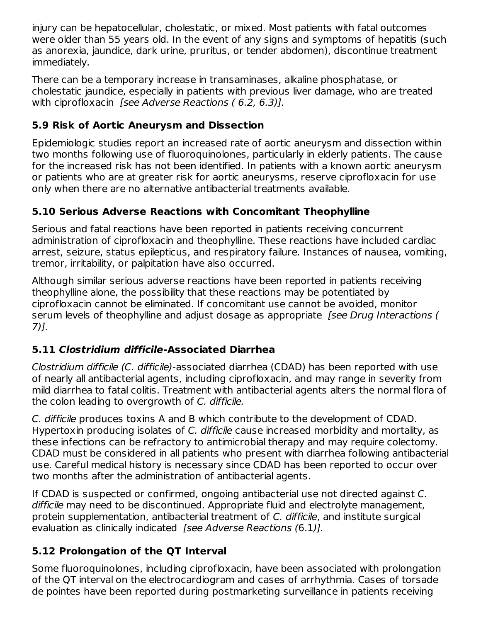injury can be hepatocellular, cholestatic, or mixed. Most patients with fatal outcomes were older than 55 years old. In the event of any signs and symptoms of hepatitis (such as anorexia, jaundice, dark urine, pruritus, or tender abdomen), discontinue treatment immediately.

There can be a temporary increase in transaminases, alkaline phosphatase, or cholestatic jaundice, especially in patients with previous liver damage, who are treated with ciprofloxacin *[see Adverse Reactions (6.2, 6.3)]*.

# **5.9 Risk of Aortic Aneurysm and Dissection**

Epidemiologic studies report an increased rate of aortic aneurysm and dissection within two months following use of fluoroquinolones, particularly in elderly patients. The cause for the increased risk has not been identified. In patients with a known aortic aneurysm or patients who are at greater risk for aortic aneurysms, reserve ciprofloxacin for use only when there are no alternative antibacterial treatments available.

# **5.10 Serious Adverse Reactions with Concomitant Theophylline**

Serious and fatal reactions have been reported in patients receiving concurrent administration of ciprofloxacin and theophylline. These reactions have included cardiac arrest, seizure, status epilepticus, and respiratory failure. Instances of nausea, vomiting, tremor, irritability, or palpitation have also occurred.

Although similar serious adverse reactions have been reported in patients receiving theophylline alone, the possibility that these reactions may be potentiated by ciprofloxacin cannot be eliminated. If concomitant use cannot be avoided, monitor serum levels of theophylline and adjust dosage as appropriate *[see Drug Interactions (* 7)].

# **5.11 Clostridium difficile-Associated Diarrhea**

Clostridium difficile (C. difficile)-associated diarrhea (CDAD) has been reported with use of nearly all antibacterial agents, including ciprofloxacin, and may range in severity from mild diarrhea to fatal colitis. Treatment with antibacterial agents alters the normal flora of the colon leading to overgrowth of C. difficile.

C. difficile produces toxins A and B which contribute to the development of CDAD. Hypertoxin producing isolates of C. difficile cause increased morbidity and mortality, as these infections can be refractory to antimicrobial therapy and may require colectomy. CDAD must be considered in all patients who present with diarrhea following antibacterial use. Careful medical history is necessary since CDAD has been reported to occur over two months after the administration of antibacterial agents.

If CDAD is suspected or confirmed, ongoing antibacterial use not directed against C. difficile may need to be discontinued. Appropriate fluid and electrolyte management, protein supplementation, antibacterial treatment of C. difficile, and institute surgical evaluation as clinically indicated *[see Adverse Reactions (6.1)].* 

# **5.12 Prolongation of the QT Interval**

Some fluoroquinolones, including ciprofloxacin, have been associated with prolongation of the QT interval on the electrocardiogram and cases of arrhythmia. Cases of torsade de pointes have been reported during postmarketing surveillance in patients receiving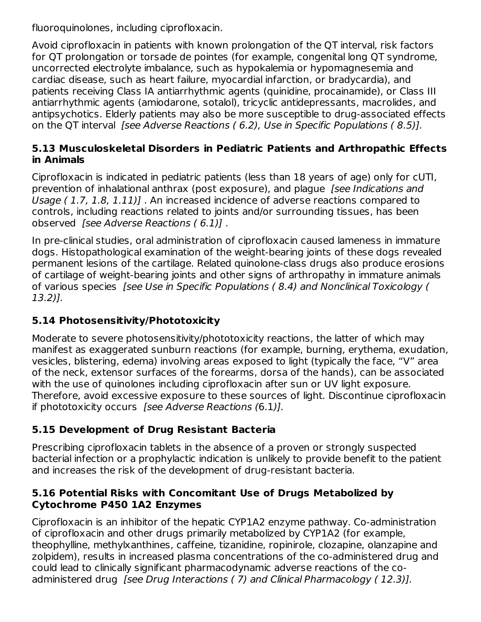fluoroquinolones, including ciprofloxacin.

Avoid ciprofloxacin in patients with known prolongation of the QT interval, risk factors for QT prolongation or torsade de pointes (for example, congenital long QT syndrome, uncorrected electrolyte imbalance, such as hypokalemia or hypomagnesemia and cardiac disease, such as heart failure, myocardial infarction, or bradycardia), and patients receiving Class IA antiarrhythmic agents (quinidine, procainamide), or Class III antiarrhythmic agents (amiodarone, sotalol), tricyclic antidepressants, macrolides, and antipsychotics. Elderly patients may also be more susceptible to drug-associated effects on the QT interval *[see Adverse Reactions ( 6.2), Use in Specific Populations ( 8.5)].* 

#### **5.13 Musculoskeletal Disorders in Pediatric Patients and Arthropathic Effects in Animals**

Ciprofloxacin is indicated in pediatric patients (less than 18 years of age) only for cUTI, prevention of inhalational anthrax (post exposure), and plague [see Indications and Usage ( 1.7, 1.8, 1.11)] . An increased incidence of adverse reactions compared to controls, including reactions related to joints and/or surrounding tissues, has been observed [see Adverse Reactions ( 6.1)] .

In pre-clinical studies, oral administration of ciprofloxacin caused lameness in immature dogs. Histopathological examination of the weight-bearing joints of these dogs revealed permanent lesions of the cartilage. Related quinolone-class drugs also produce erosions of cartilage of weight-bearing joints and other signs of arthropathy in immature animals of various species [see Use in Specific Populations ( 8.4) and Nonclinical Toxicology ( 13.2)].

# **5.14 Photosensitivity/Phototoxicity**

Moderate to severe photosensitivity/phototoxicity reactions, the latter of which may manifest as exaggerated sunburn reactions (for example, burning, erythema, exudation, vesicles, blistering, edema) involving areas exposed to light (typically the face, "V" area of the neck, extensor surfaces of the forearms, dorsa of the hands), can be associated with the use of quinolones including ciprofloxacin after sun or UV light exposure. Therefore, avoid excessive exposure to these sources of light. Discontinue ciprofloxacin if phototoxicity occurs [see Adverse Reactions (6.1)].

# **5.15 Development of Drug Resistant Bacteria**

Prescribing ciprofloxacin tablets in the absence of a proven or strongly suspected bacterial infection or a prophylactic indication is unlikely to provide benefit to the patient and increases the risk of the development of drug-resistant bacteria.

### **5.16 Potential Risks with Concomitant Use of Drugs Metabolized by Cytochrome P450 1A2 Enzymes**

Ciprofloxacin is an inhibitor of the hepatic CYP1A2 enzyme pathway. Co-administration of ciprofloxacin and other drugs primarily metabolized by CYP1A2 (for example, theophylline, methylxanthines, caffeine, tizanidine, ropinirole, clozapine, olanzapine and zolpidem), results in increased plasma concentrations of the co-administered drug and could lead to clinically significant pharmacodynamic adverse reactions of the coadministered drug [see Drug Interactions (7) and Clinical Pharmacology (12.3)].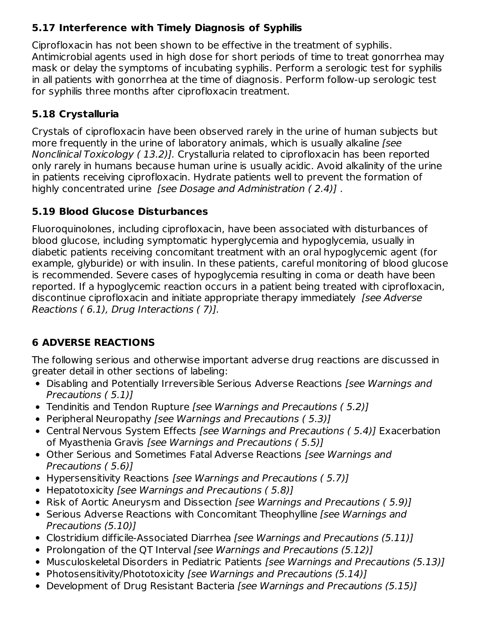# **5.17 Interference with Timely Diagnosis of Syphilis**

Ciprofloxacin has not been shown to be effective in the treatment of syphilis. Antimicrobial agents used in high dose for short periods of time to treat gonorrhea may mask or delay the symptoms of incubating syphilis. Perform a serologic test for syphilis in all patients with gonorrhea at the time of diagnosis. Perform follow-up serologic test for syphilis three months after ciprofloxacin treatment.

# **5.18 Crystalluria**

Crystals of ciprofloxacin have been observed rarely in the urine of human subjects but more frequently in the urine of laboratory animals, which is usually alkaline [see Nonclinical Toxicology ( 13.2)]. Crystalluria related to ciprofloxacin has been reported only rarely in humans because human urine is usually acidic. Avoid alkalinity of the urine in patients receiving ciprofloxacin. Hydrate patients well to prevent the formation of highly concentrated urine [see Dosage and Administration ( 2.4)] .

# **5.19 Blood Glucose Disturbances**

Fluoroquinolones, including ciprofloxacin, have been associated with disturbances of blood glucose, including symptomatic hyperglycemia and hypoglycemia, usually in diabetic patients receiving concomitant treatment with an oral hypoglycemic agent (for example, glyburide) or with insulin. In these patients, careful monitoring of blood glucose is recommended. Severe cases of hypoglycemia resulting in coma or death have been reported. If a hypoglycemic reaction occurs in a patient being treated with ciprofloxacin, discontinue ciprofloxacin and initiate appropriate therapy immediately [see Adverse Reactions ( 6.1), Drug Interactions ( 7)].

# **6 ADVERSE REACTIONS**

The following serious and otherwise important adverse drug reactions are discussed in greater detail in other sections of labeling:

- Disabling and Potentially Irreversible Serious Adverse Reactions *[see Warnings and* Precautions ( 5.1)]
- Tendinitis and Tendon Rupture [see Warnings and Precautions (5.2)]
- Peripheral Neuropathy *[see Warnings and Precautions (5.3)]*
- Central Nervous System Effects [see Warnings and Precautions (5.4)] Exacerbation of Myasthenia Gravis [see Warnings and Precautions ( 5.5)]
- Other Serious and Sometimes Fatal Adverse Reactions *[see Warnings and* Precautions ( 5.6)]
- Hypersensitivity Reactions [see Warnings and Precautions (5.7)]
- Hepatotoxicity [see Warnings and Precautions (5.8)]
- Risk of Aortic Aneurysm and Dissection [see Warnings and Precautions (5.9)]
- Serious Adverse Reactions with Concomitant Theophylline [see Warnings and Precautions (5.10)]
- Clostridium difficile-Associated Diarrhea [see Warnings and Precautions (5.11)]
- Prolongation of the QT Interval [see Warnings and Precautions (5.12)]
- Musculoskeletal Disorders in Pediatric Patients [see Warnings and Precautions (5.13)]
- Photosensitivity/Phototoxicity [see Warnings and Precautions (5.14)]
- Development of Drug Resistant Bacteria [see Warnings and Precautions (5.15)]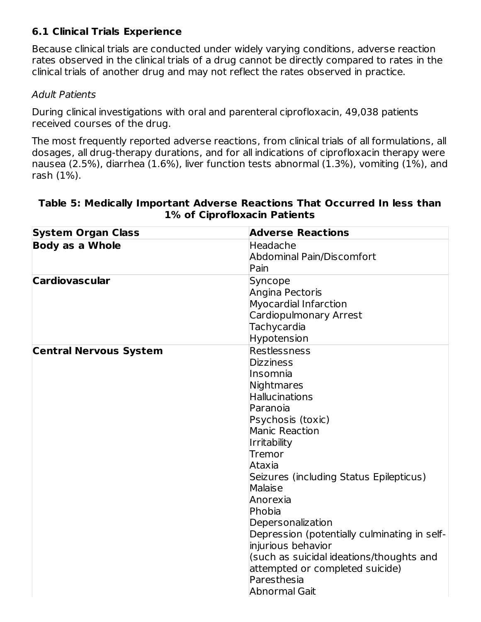### **6.1 Clinical Trials Experience**

Because clinical trials are conducted under widely varying conditions, adverse reaction rates observed in the clinical trials of a drug cannot be directly compared to rates in the clinical trials of another drug and may not reflect the rates observed in practice.

#### Adult Patients

During clinical investigations with oral and parenteral ciprofloxacin, 49,038 patients received courses of the drug.

The most frequently reported adverse reactions, from clinical trials of all formulations, all dosages, all drug-therapy durations, and for all indications of ciprofloxacin therapy were nausea (2.5%), diarrhea (1.6%), liver function tests abnormal (1.3%), vomiting (1%), and rash (1%).

| <b>Body as a Whole</b><br>Headache<br><b>Abdominal Pain/Discomfort</b><br>Pain<br><b>Cardiovascular</b><br>Syncope<br>Angina Pectoris<br><b>Myocardial Infarction</b><br>Cardiopulmonary Arrest<br>Tachycardia<br>Hypotension<br><b>Restlessness</b><br><b>Central Nervous System</b><br><b>Dizziness</b><br>lInsomnia<br>Nightmares<br><b>Hallucinations</b><br>Paranoia<br>Psychosis (toxic)<br><b>Manic Reaction</b><br>Irritability<br>Tremor<br>Ataxia<br>Seizures (including Status Epilepticus)<br>Malaise<br>Anorexia<br>Phobia<br>Depersonalization<br>Depression (potentially culminating in self-<br>injurious behavior<br>(such as suicidal ideations/thoughts and<br>attempted or completed suicide)<br>Paresthesia<br>Abnormal Gait | <b>System Organ Class</b> | <b>Adverse Reactions</b> |
|---------------------------------------------------------------------------------------------------------------------------------------------------------------------------------------------------------------------------------------------------------------------------------------------------------------------------------------------------------------------------------------------------------------------------------------------------------------------------------------------------------------------------------------------------------------------------------------------------------------------------------------------------------------------------------------------------------------------------------------------------|---------------------------|--------------------------|
|                                                                                                                                                                                                                                                                                                                                                                                                                                                                                                                                                                                                                                                                                                                                                   |                           |                          |
|                                                                                                                                                                                                                                                                                                                                                                                                                                                                                                                                                                                                                                                                                                                                                   |                           |                          |
|                                                                                                                                                                                                                                                                                                                                                                                                                                                                                                                                                                                                                                                                                                                                                   |                           |                          |
|                                                                                                                                                                                                                                                                                                                                                                                                                                                                                                                                                                                                                                                                                                                                                   |                           |                          |
|                                                                                                                                                                                                                                                                                                                                                                                                                                                                                                                                                                                                                                                                                                                                                   |                           |                          |
|                                                                                                                                                                                                                                                                                                                                                                                                                                                                                                                                                                                                                                                                                                                                                   |                           |                          |
|                                                                                                                                                                                                                                                                                                                                                                                                                                                                                                                                                                                                                                                                                                                                                   |                           |                          |
|                                                                                                                                                                                                                                                                                                                                                                                                                                                                                                                                                                                                                                                                                                                                                   |                           |                          |
|                                                                                                                                                                                                                                                                                                                                                                                                                                                                                                                                                                                                                                                                                                                                                   |                           |                          |
|                                                                                                                                                                                                                                                                                                                                                                                                                                                                                                                                                                                                                                                                                                                                                   |                           |                          |
|                                                                                                                                                                                                                                                                                                                                                                                                                                                                                                                                                                                                                                                                                                                                                   |                           |                          |
|                                                                                                                                                                                                                                                                                                                                                                                                                                                                                                                                                                                                                                                                                                                                                   |                           |                          |
|                                                                                                                                                                                                                                                                                                                                                                                                                                                                                                                                                                                                                                                                                                                                                   |                           |                          |
|                                                                                                                                                                                                                                                                                                                                                                                                                                                                                                                                                                                                                                                                                                                                                   |                           |                          |
|                                                                                                                                                                                                                                                                                                                                                                                                                                                                                                                                                                                                                                                                                                                                                   |                           |                          |
|                                                                                                                                                                                                                                                                                                                                                                                                                                                                                                                                                                                                                                                                                                                                                   |                           |                          |
|                                                                                                                                                                                                                                                                                                                                                                                                                                                                                                                                                                                                                                                                                                                                                   |                           |                          |
|                                                                                                                                                                                                                                                                                                                                                                                                                                                                                                                                                                                                                                                                                                                                                   |                           |                          |
|                                                                                                                                                                                                                                                                                                                                                                                                                                                                                                                                                                                                                                                                                                                                                   |                           |                          |
|                                                                                                                                                                                                                                                                                                                                                                                                                                                                                                                                                                                                                                                                                                                                                   |                           |                          |
|                                                                                                                                                                                                                                                                                                                                                                                                                                                                                                                                                                                                                                                                                                                                                   |                           |                          |
|                                                                                                                                                                                                                                                                                                                                                                                                                                                                                                                                                                                                                                                                                                                                                   |                           |                          |
|                                                                                                                                                                                                                                                                                                                                                                                                                                                                                                                                                                                                                                                                                                                                                   |                           |                          |
|                                                                                                                                                                                                                                                                                                                                                                                                                                                                                                                                                                                                                                                                                                                                                   |                           |                          |
|                                                                                                                                                                                                                                                                                                                                                                                                                                                                                                                                                                                                                                                                                                                                                   |                           |                          |
|                                                                                                                                                                                                                                                                                                                                                                                                                                                                                                                                                                                                                                                                                                                                                   |                           |                          |
|                                                                                                                                                                                                                                                                                                                                                                                                                                                                                                                                                                                                                                                                                                                                                   |                           |                          |
|                                                                                                                                                                                                                                                                                                                                                                                                                                                                                                                                                                                                                                                                                                                                                   |                           |                          |
|                                                                                                                                                                                                                                                                                                                                                                                                                                                                                                                                                                                                                                                                                                                                                   |                           |                          |
|                                                                                                                                                                                                                                                                                                                                                                                                                                                                                                                                                                                                                                                                                                                                                   |                           |                          |

#### **Table 5: Medically Important Adverse Reactions That Occurred In less than 1% of Ciprofloxacin Patients**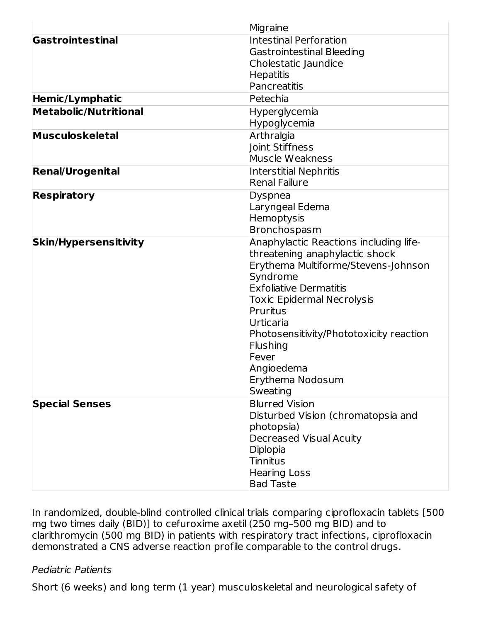|                              | Migraine                                |
|------------------------------|-----------------------------------------|
| Gastrointestinal             | <b>Intestinal Perforation</b>           |
|                              | <b>Gastrointestinal Bleeding</b>        |
|                              | Cholestatic Jaundice                    |
|                              | <b>Hepatitis</b>                        |
|                              | Pancreatitis                            |
| Hemic/Lymphatic              | Petechia                                |
| <b>Metabolic/Nutritional</b> | Hyperglycemia                           |
|                              | Hypoglycemia                            |
| <b>Musculoskeletal</b>       | Arthralgia                              |
|                              | Joint Stiffness                         |
|                              | Muscle Weakness                         |
| <b>Renal/Urogenital</b>      | <b>Interstitial Nephritis</b>           |
|                              | <b>Renal Failure</b>                    |
| <b>Respiratory</b>           | Dyspnea                                 |
|                              | Laryngeal Edema                         |
|                              | Hemoptysis                              |
|                              | Bronchospasm                            |
| <b>Skin/Hypersensitivity</b> | Anaphylactic Reactions including life-  |
|                              | threatening anaphylactic shock          |
|                              | Erythema Multiforme/Stevens-Johnson     |
|                              | Syndrome                                |
|                              | <b>Exfoliative Dermatitis</b>           |
|                              | <b>Toxic Epidermal Necrolysis</b>       |
|                              | Pruritus                                |
|                              | Urticaria                               |
|                              | Photosensitivity/Phototoxicity reaction |
|                              | Flushing                                |
|                              | Fever                                   |
|                              | Angioedema                              |
|                              | Erythema Nodosum                        |
|                              | Sweating                                |
| <b>Special Senses</b>        | <b>Blurred Vision</b>                   |
|                              | Disturbed Vision (chromatopsia and      |
|                              | photopsia)                              |
|                              | <b>Decreased Visual Acuity</b>          |
|                              | Diplopia                                |
|                              | <b>Tinnitus</b>                         |
|                              | <b>Hearing Loss</b>                     |
|                              | <b>Bad Taste</b>                        |

In randomized, double-blind controlled clinical trials comparing ciprofloxacin tablets [500 mg two times daily (BID)] to cefuroxime axetil (250 mg–500 mg BID) and to clarithromycin (500 mg BID) in patients with respiratory tract infections, ciprofloxacin demonstrated a CNS adverse reaction profile comparable to the control drugs.

#### Pediatric Patients

Short (6 weeks) and long term (1 year) musculoskeletal and neurological safety of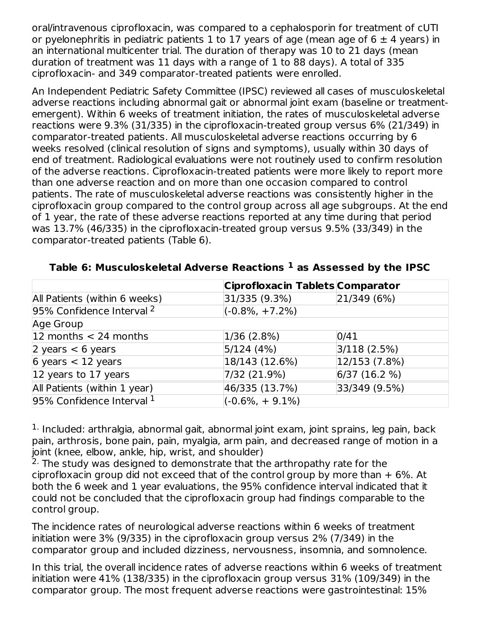oral/intravenous ciprofloxacin, was compared to a cephalosporin for treatment of cUTI or pyelonephritis in pediatric patients 1 to 17 years of age (mean age of  $6 \pm 4$  years) in an international multicenter trial. The duration of therapy was 10 to 21 days (mean duration of treatment was 11 days with a range of 1 to 88 days). A total of 335 ciprofloxacin- and 349 comparator-treated patients were enrolled.

An Independent Pediatric Safety Committee (IPSC) reviewed all cases of musculoskeletal adverse reactions including abnormal gait or abnormal joint exam (baseline or treatmentemergent). Within 6 weeks of treatment initiation, the rates of musculoskeletal adverse reactions were 9.3% (31/335) in the ciprofloxacin-treated group versus 6% (21/349) in comparator-treated patients. All musculoskeletal adverse reactions occurring by 6 weeks resolved (clinical resolution of signs and symptoms), usually within 30 days of end of treatment. Radiological evaluations were not routinely used to confirm resolution of the adverse reactions. Ciprofloxacin-treated patients were more likely to report more than one adverse reaction and on more than one occasion compared to control patients. The rate of musculoskeletal adverse reactions was consistently higher in the ciprofloxacin group compared to the control group across all age subgroups. At the end of 1 year, the rate of these adverse reactions reported at any time during that period was 13.7% (46/335) in the ciprofloxacin-treated group versus 9.5% (33/349) in the comparator-treated patients (Table 6).

|                               | Ciprofloxacin Tablets Comparator |               |  |
|-------------------------------|----------------------------------|---------------|--|
| All Patients (within 6 weeks) | 31/335 (9.3%)                    | 21/349(6%)    |  |
| 95% Confidence Interval 2     | $(-0.8\%, +7.2\%)$               |               |  |
| Age Group                     |                                  |               |  |
| 12 months $<$ 24 months       | 1/36(2.8%)                       | 0/41          |  |
| 2 years $<$ 6 years           | 5/124(4%)                        | 3/118(2.5%)   |  |
| 6 years $<$ 12 years          | 18/143 (12.6%)                   | 12/153 (7.8%) |  |
| 12 years to 17 years          | 7/32 (21.9%)                     | 6/37(16.2%)   |  |
| All Patients (within 1 year)  | 46/335 (13.7%)                   | 33/349 (9.5%) |  |
| 95% Confidence Interval $1$   | $(-0.6\%, +9.1\%)$               |               |  |

#### **Table 6: Musculoskeletal Adverse Reactions as Assessed by the IPSC 1**

 $<sup>1.</sup>$  Included: arthralgia, abnormal gait, abnormal joint exam, joint sprains, leg pain, back</sup> pain, arthrosis, bone pain, pain, myalgia, arm pain, and decreased range of motion in a joint (knee, elbow, ankle, hip, wrist, and shoulder)

 $2$ . The study was designed to demonstrate that the arthropathy rate for the ciprofloxacin group did not exceed that of the control group by more than  $+6\%$ . At both the 6 week and 1 year evaluations, the 95% confidence interval indicated that it could not be concluded that the ciprofloxacin group had findings comparable to the control group.

The incidence rates of neurological adverse reactions within 6 weeks of treatment initiation were 3% (9/335) in the ciprofloxacin group versus 2% (7/349) in the comparator group and included dizziness, nervousness, insomnia, and somnolence.

In this trial, the overall incidence rates of adverse reactions within 6 weeks of treatment initiation were 41% (138/335) in the ciprofloxacin group versus 31% (109/349) in the comparator group. The most frequent adverse reactions were gastrointestinal: 15%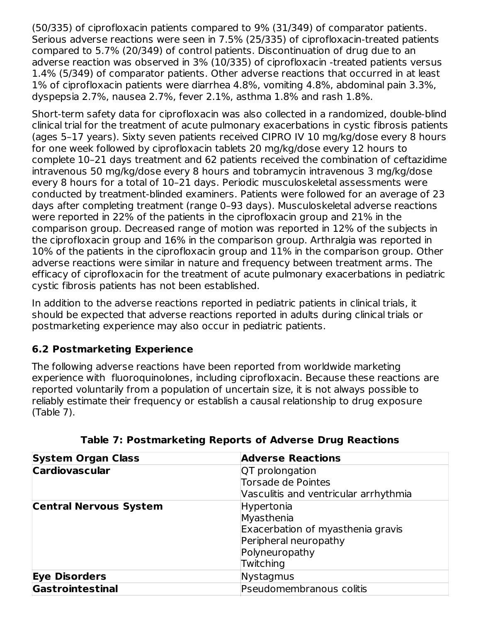(50/335) of ciprofloxacin patients compared to 9% (31/349) of comparator patients. Serious adverse reactions were seen in 7.5% (25/335) of ciprofloxacin-treated patients compared to 5.7% (20/349) of control patients. Discontinuation of drug due to an adverse reaction was observed in 3% (10/335) of ciprofloxacin -treated patients versus 1.4% (5/349) of comparator patients. Other adverse reactions that occurred in at least 1% of ciprofloxacin patients were diarrhea 4.8%, vomiting 4.8%, abdominal pain 3.3%, dyspepsia 2.7%, nausea 2.7%, fever 2.1%, asthma 1.8% and rash 1.8%.

Short-term safety data for ciprofloxacin was also collected in a randomized, double-blind clinical trial for the treatment of acute pulmonary exacerbations in cystic fibrosis patients (ages 5–17 years). Sixty seven patients received CIPRO IV 10 mg/kg/dose every 8 hours for one week followed by ciprofloxacin tablets 20 mg/kg/dose every 12 hours to complete 10–21 days treatment and 62 patients received the combination of ceftazidime intravenous 50 mg/kg/dose every 8 hours and tobramycin intravenous 3 mg/kg/dose every 8 hours for a total of 10–21 days. Periodic musculoskeletal assessments were conducted by treatment-blinded examiners. Patients were followed for an average of 23 days after completing treatment (range 0–93 days). Musculoskeletal adverse reactions were reported in 22% of the patients in the ciprofloxacin group and 21% in the comparison group. Decreased range of motion was reported in 12% of the subjects in the ciprofloxacin group and 16% in the comparison group. Arthralgia was reported in 10% of the patients in the ciprofloxacin group and 11% in the comparison group. Other adverse reactions were similar in nature and frequency between treatment arms. The efficacy of ciprofloxacin for the treatment of acute pulmonary exacerbations in pediatric cystic fibrosis patients has not been established.

In addition to the adverse reactions reported in pediatric patients in clinical trials, it should be expected that adverse reactions reported in adults during clinical trials or postmarketing experience may also occur in pediatric patients.

### **6.2 Postmarketing Experience**

The following adverse reactions have been reported from worldwide marketing experience with fluoroquinolones, including ciprofloxacin. Because these reactions are reported voluntarily from a population of uncertain size, it is not always possible to reliably estimate their frequency or establish a causal relationship to drug exposure (Table 7).

| <b>System Organ Class</b>     | <b>Adverse Reactions</b>              |
|-------------------------------|---------------------------------------|
| <b>Cardiovascular</b>         | QT prolongation                       |
|                               | <b>Torsade de Pointes</b>             |
|                               | Vasculitis and ventricular arrhythmia |
| <b>Central Nervous System</b> | Hypertonia                            |
|                               | Myasthenia                            |
|                               | Exacerbation of myasthenia gravis     |
|                               | Peripheral neuropathy                 |
|                               | Polyneuropathy                        |
|                               | Twitching                             |
| <b>Eye Disorders</b>          | Nystagmus                             |
| Gastrointestinal              | Pseudomembranous colitis              |

**Table 7: Postmarketing Reports of Adverse Drug Reactions**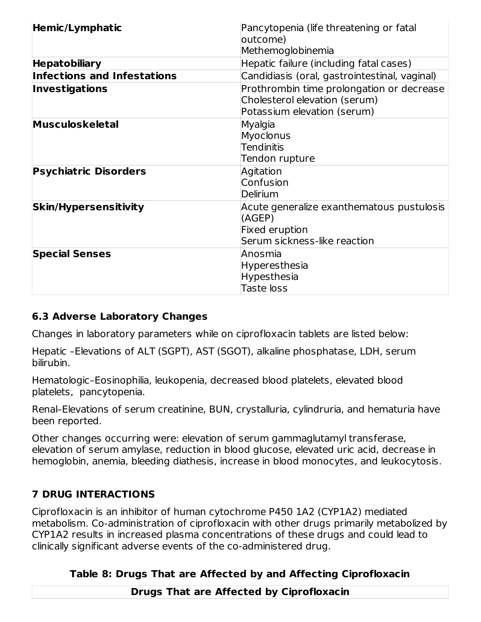| Hemic/Lymphatic                    | Pancytopenia (life threatening or fatal<br>outcome)                                                          |  |
|------------------------------------|--------------------------------------------------------------------------------------------------------------|--|
|                                    | Methemoglobinemia                                                                                            |  |
| <b>Hepatobiliary</b>               | Hepatic failure (including fatal cases)                                                                      |  |
| <b>Infections and Infestations</b> | Candidiasis (oral, gastrointestinal, vaginal)                                                                |  |
| <b>Investigations</b>              | Prothrombin time prolongation or decrease<br>Cholesterol elevation (serum)<br>Potassium elevation (serum)    |  |
| <b>Musculoskeletal</b>             | Myalgia<br>Myoclonus<br><b>Tendinitis</b><br>Tendon rupture                                                  |  |
| <b>Psychiatric Disorders</b>       | Agitation<br>Confusion<br>Delirium                                                                           |  |
| <b>Skin/Hypersensitivity</b>       | Acute generalize exanthematous pustulosis<br>(AGEP)<br><b>Fixed eruption</b><br>Serum sickness-like reaction |  |
| <b>Special Senses</b>              | Anosmia<br>Hyperesthesia<br>Hypesthesia<br><b>Taste loss</b>                                                 |  |

### **6.3 Adverse Laboratory Changes**

Changes in laboratory parameters while on ciprofloxacin tablets are listed below:

Hepatic –Elevations of ALT (SGPT), AST (SGOT), alkaline phosphatase, LDH, serum bilirubin.

Hematologic–Eosinophilia, leukopenia, decreased blood platelets, elevated blood platelets, pancytopenia.

Renal–Elevations of serum creatinine, BUN, crystalluria, cylindruria, and hematuria have been reported.

Other changes occurring were: elevation of serum gammaglutamyl transferase, elevation of serum amylase, reduction in blood glucose, elevated uric acid, decrease in hemoglobin, anemia, bleeding diathesis, increase in blood monocytes, and leukocytosis.

### **7 DRUG INTERACTIONS**

Ciprofloxacin is an inhibitor of human cytochrome P450 1A2 (CYP1A2) mediated metabolism. Co-administration of ciprofloxacin with other drugs primarily metabolized by CYP1A2 results in increased plasma concentrations of these drugs and could lead to clinically significant adverse events of the co-administered drug.

### **Table 8: Drugs That are Affected by and Affecting Ciprofloxacin**

**Drugs That are Affected by Ciprofloxacin**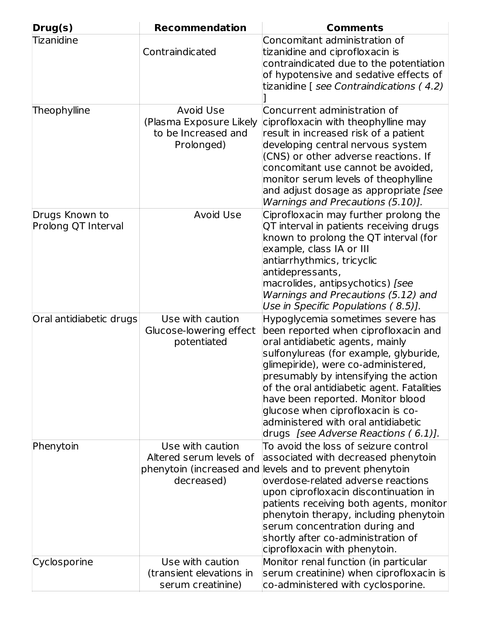| Drug(s)                               | <b>Recommendation</b>                                                                 | <b>Comments</b>                                                                                                                                                                                                                                                                                                                                                                                                                                |
|---------------------------------------|---------------------------------------------------------------------------------------|------------------------------------------------------------------------------------------------------------------------------------------------------------------------------------------------------------------------------------------------------------------------------------------------------------------------------------------------------------------------------------------------------------------------------------------------|
| <b>Tizanidine</b>                     | Contraindicated                                                                       | Concomitant administration of<br>tizanidine and ciprofloxacin is<br>contraindicated due to the potentiation<br>of hypotensive and sedative effects of<br>tizanidine [ see Contraindications (4.2)                                                                                                                                                                                                                                              |
| Theophylline                          | <b>Avoid Use</b><br>(Plasma Exposure Likely<br>to be Increased and<br>Prolonged)      | Concurrent administration of<br>ciprofloxacin with theophylline may<br>result in increased risk of a patient<br>developing central nervous system<br>(CNS) or other adverse reactions. If<br>concomitant use cannot be avoided,<br>monitor serum levels of theophylline<br>and adjust dosage as appropriate [see<br>Warnings and Precautions (5.10)].                                                                                          |
| Drugs Known to<br>Prolong QT Interval | <b>Avoid Use</b>                                                                      | Ciprofloxacin may further prolong the<br>QT interval in patients receiving drugs<br>known to prolong the QT interval (for<br>example, class IA or III<br>antiarrhythmics, tricyclic<br>antidepressants,<br>macrolides, antipsychotics) [see<br>Warnings and Precautions (5.12) and<br>Use in Specific Populations (8.5)].                                                                                                                      |
| Oral antidiabetic drugs               | Use with caution<br>Glucose-lowering effect<br>potentiated                            | Hypoglycemia sometimes severe has<br>been reported when ciprofloxacin and<br>oral antidiabetic agents, mainly<br>sulfonylureas (for example, glyburide,<br>glimepiride), were co-administered,<br>presumably by intensifying the action<br>of the oral antidiabetic agent. Fatalities<br>have been reported. Monitor blood<br>glucose when ciprofloxacin is co-<br>administered with oral antidiabetic<br>drugs [see Adverse Reactions (6.1)]. |
| Phenytoin                             | Use with caution<br>Altered serum levels of<br>phenytoin (increased and<br>decreased) | To avoid the loss of seizure control<br>associated with decreased phenytoin<br>levels and to prevent phenytoin<br>overdose-related adverse reactions<br>upon ciprofloxacin discontinuation in<br>patients receiving both agents, monitor<br>phenytoin therapy, including phenytoin<br>serum concentration during and<br>shortly after co-administration of<br>ciprofloxacin with phenytoin.                                                    |
| Cyclosporine                          | Use with caution<br>(transient elevations in<br>serum creatinine)                     | Monitor renal function (in particular<br>serum creatinine) when ciprofloxacin is<br>co-administered with cyclosporine.                                                                                                                                                                                                                                                                                                                         |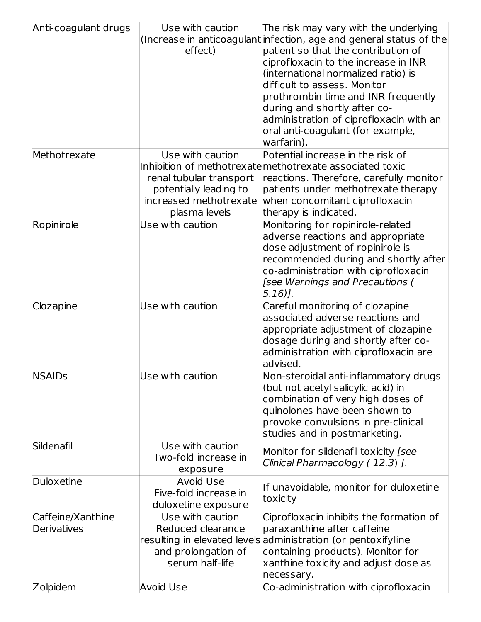| Anti-coagulant drugs                                | Use with caution<br>effect)                                                                                      | The risk may vary with the underlying<br>(Increase in anticoagulant infection, age and general status of the<br>patient so that the contribution of<br>ciprofloxacin to the increase in INR<br>(international normalized ratio) is<br>difficult to assess. Monitor<br>prothrombin time and INR frequently<br>during and shortly after co-<br>administration of ciprofloxacin with an<br>oral anti-coagulant (for example,<br>warfarin). |
|-----------------------------------------------------|------------------------------------------------------------------------------------------------------------------|-----------------------------------------------------------------------------------------------------------------------------------------------------------------------------------------------------------------------------------------------------------------------------------------------------------------------------------------------------------------------------------------------------------------------------------------|
| Methotrexate                                        | Use with caution<br>renal tubular transport<br>potentially leading to<br>increased methotrexate<br>plasma levels | Potential increase in the risk of<br>Inhibition of methotrexate methotrexate associated toxic<br>reactions. Therefore, carefully monitor<br>patients under methotrexate therapy<br>when concomitant ciprofloxacin<br>therapy is indicated.                                                                                                                                                                                              |
| Ropinirole                                          | Use with caution                                                                                                 | Monitoring for ropinirole-related<br>adverse reactions and appropriate<br>dose adjustment of ropinirole is<br>recommended during and shortly after<br>co-administration with ciprofloxacin<br>[see Warnings and Precautions (<br>$5.16$ ].                                                                                                                                                                                              |
| Clozapine                                           | Use with caution                                                                                                 | Careful monitoring of clozapine<br>associated adverse reactions and<br>appropriate adjustment of clozapine<br>dosage during and shortly after co-<br>administration with ciprofloxacin are<br>advised.                                                                                                                                                                                                                                  |
| <b>NSAIDs</b>                                       | $\sf U$ se with caution                                                                                          | Non-steroidal anti-inflammatory drugs<br>(but not acetyl salicylic acid) in<br>combination of very high doses of<br>quinolones have been shown to<br>provoke convulsions in pre-clinical<br>studies and in postmarketing.                                                                                                                                                                                                               |
| Sildenafil                                          | Use with caution<br>Two-fold increase in<br>exposure                                                             | Monitor for sildenafil toxicity [see<br>Clinical Pharmacology (12.3) ].                                                                                                                                                                                                                                                                                                                                                                 |
| Duloxetine                                          | <b>Avoid Use</b><br>Five-fold increase in<br>duloxetine exposure                                                 | If unavoidable, monitor for duloxetine<br>toxicity                                                                                                                                                                                                                                                                                                                                                                                      |
| Caffeine/Xanthine<br>Derivatives<br><b>Zolpidem</b> | Use with caution<br>Reduced clearance<br>and prolongation of<br>serum half-life<br><b>Avoid Use</b>              | Ciprofloxacin inhibits the formation of<br>paraxanthine after caffeine<br>resulting in elevated levels administration (or pentoxifylline<br>containing products). Monitor for<br>xanthine toxicity and adjust dose as<br>necessary.<br>Co-administration with ciprofloxacin                                                                                                                                                             |
|                                                     |                                                                                                                  |                                                                                                                                                                                                                                                                                                                                                                                                                                         |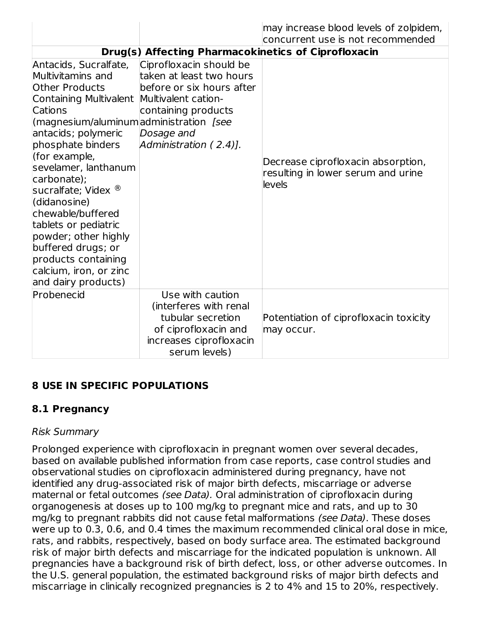|                                                                                                                                                                                                                                                                                                                                                                                                                                                                                       |                                                                                                                                                 | may increase blood levels of zolpidem,<br>concurrent use is not recommended        |
|---------------------------------------------------------------------------------------------------------------------------------------------------------------------------------------------------------------------------------------------------------------------------------------------------------------------------------------------------------------------------------------------------------------------------------------------------------------------------------------|-------------------------------------------------------------------------------------------------------------------------------------------------|------------------------------------------------------------------------------------|
|                                                                                                                                                                                                                                                                                                                                                                                                                                                                                       | Drug(s) Affecting Pharmacokinetics of Ciprofloxacin                                                                                             |                                                                                    |
| Antacids, Sucralfate,<br>Multivitamins and<br><b>Other Products</b><br>Containing Multivalent Multivalent cation-<br>Cations<br>(magnesium/aluminum administration [see<br>antacids; polymeric<br>phosphate binders<br>(for example,<br>sevelamer, lanthanum<br>carbonate);<br>sucralfate; Videx ®<br>(didanosine)<br>chewable/buffered<br>tablets or pediatric<br>powder; other highly<br>buffered drugs; or<br>products containing<br>calcium, iron, or zinc<br>and dairy products) | Ciprofloxacin should be<br>taken at least two hours<br>before or six hours after<br>containing products<br>Dosage and<br>Administration (2.4)]. | Decrease ciprofloxacin absorption,<br>resulting in lower serum and urine<br>levels |
| Probenecid                                                                                                                                                                                                                                                                                                                                                                                                                                                                            | Use with caution<br>(interferes with renal<br>tubular secretion<br>of ciprofloxacin and<br>increases ciprofloxacin<br>serum levels)             | Potentiation of ciprofloxacin toxicity<br>may occur.                               |

### **8 USE IN SPECIFIC POPULATIONS**

### **8.1 Pregnancy**

#### Risk Summary

Prolonged experience with ciprofloxacin in pregnant women over several decades, based on available published information from case reports, case control studies and observational studies on ciprofloxacin administered during pregnancy, have not identified any drug-associated risk of major birth defects, miscarriage or adverse maternal or fetal outcomes (see Data). Oral administration of ciprofloxacin during organogenesis at doses up to 100 mg/kg to pregnant mice and rats, and up to 30 mg/kg to pregnant rabbits did not cause fetal malformations (see Data). These doses were up to 0.3, 0.6, and 0.4 times the maximum recommended clinical oral dose in mice, rats, and rabbits, respectively, based on body surface area. The estimated background risk of major birth defects and miscarriage for the indicated population is unknown. All pregnancies have a background risk of birth defect, loss, or other adverse outcomes. In the U.S. general population, the estimated background risks of major birth defects and miscarriage in clinically recognized pregnancies is 2 to 4% and 15 to 20%, respectively.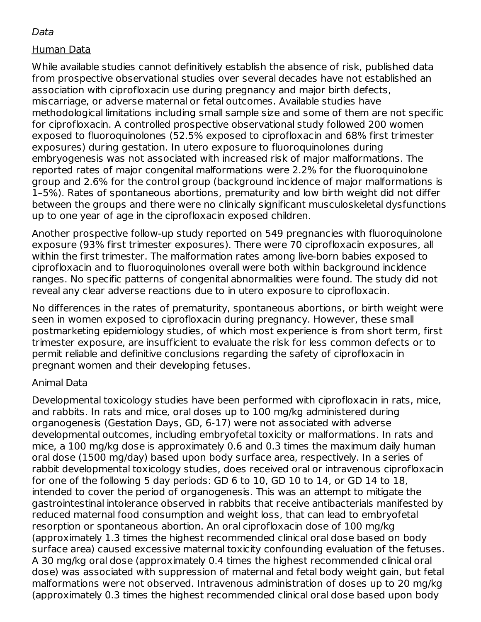#### Data

#### Human Data

While available studies cannot definitively establish the absence of risk, published data from prospective observational studies over several decades have not established an association with ciprofloxacin use during pregnancy and major birth defects, miscarriage, or adverse maternal or fetal outcomes. Available studies have methodological limitations including small sample size and some of them are not specific for ciprofloxacin. A controlled prospective observational study followed 200 women exposed to fluoroquinolones (52.5% exposed to ciprofloxacin and 68% first trimester exposures) during gestation. In utero exposure to fluoroquinolones during embryogenesis was not associated with increased risk of major malformations. The reported rates of major congenital malformations were 2.2% for the fluoroquinolone group and 2.6% for the control group (background incidence of major malformations is 1–5%). Rates of spontaneous abortions, prematurity and low birth weight did not differ between the groups and there were no clinically significant musculoskeletal dysfunctions up to one year of age in the ciprofloxacin exposed children.

Another prospective follow-up study reported on 549 pregnancies with fluoroquinolone exposure (93% first trimester exposures). There were 70 ciprofloxacin exposures, all within the first trimester. The malformation rates among live-born babies exposed to ciprofloxacin and to fluoroquinolones overall were both within background incidence ranges. No specific patterns of congenital abnormalities were found. The study did not reveal any clear adverse reactions due to in utero exposure to ciprofloxacin.

No differences in the rates of prematurity, spontaneous abortions, or birth weight were seen in women exposed to ciprofloxacin during pregnancy. However, these small postmarketing epidemiology studies, of which most experience is from short term, first trimester exposure, are insufficient to evaluate the risk for less common defects or to permit reliable and definitive conclusions regarding the safety of ciprofloxacin in pregnant women and their developing fetuses.

#### Animal Data

Developmental toxicology studies have been performed with ciprofloxacin in rats, mice, and rabbits. In rats and mice, oral doses up to 100 mg/kg administered during organogenesis (Gestation Days, GD, 6-17) were not associated with adverse developmental outcomes, including embryofetal toxicity or malformations. In rats and mice, a 100 mg/kg dose is approximately 0.6 and 0.3 times the maximum daily human oral dose (1500 mg/day) based upon body surface area, respectively. In a series of rabbit developmental toxicology studies, does received oral or intravenous ciprofloxacin for one of the following 5 day periods: GD 6 to 10, GD 10 to 14, or GD 14 to 18, intended to cover the period of organogenesis. This was an attempt to mitigate the gastrointestinal intolerance observed in rabbits that receive antibacterials manifested by reduced maternal food consumption and weight loss, that can lead to embryofetal resorption or spontaneous abortion. An oral ciprofloxacin dose of 100 mg/kg (approximately 1.3 times the highest recommended clinical oral dose based on body surface area) caused excessive maternal toxicity confounding evaluation of the fetuses. A 30 mg/kg oral dose (approximately 0.4 times the highest recommended clinical oral dose) was associated with suppression of maternal and fetal body weight gain, but fetal malformations were not observed. Intravenous administration of doses up to 20 mg/kg (approximately 0.3 times the highest recommended clinical oral dose based upon body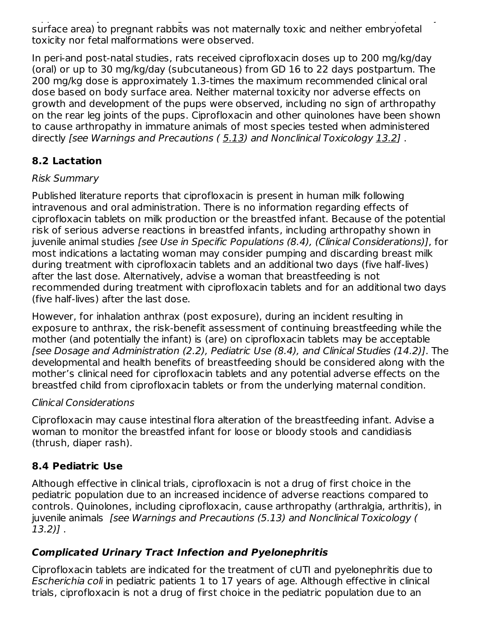(approximately 0.3 times the highest recommended clinical oral dose based upon body surface area) to pregnant rabbits was not maternally toxic and neither embryofetal toxicity nor fetal malformations were observed.

In peri-and post-natal studies, rats received ciprofloxacin doses up to 200 mg/kg/day (oral) or up to 30 mg/kg/day (subcutaneous) from GD 16 to 22 days postpartum. The 200 mg/kg dose is approximately 1.3-times the maximum recommended clinical oral dose based on body surface area. Neither maternal toxicity nor adverse effects on growth and development of the pups were observed, including no sign of arthropathy on the rear leg joints of the pups. Ciprofloxacin and other quinolones have been shown to cause arthropathy in immature animals of most species tested when administered directly [see Warnings and Precautions (5.13) and Nonclinical Toxicology 13.2].

# **8.2 Lactation**

### Risk Summary

Published literature reports that ciprofloxacin is present in human milk following intravenous and oral administration. There is no information regarding effects of ciprofloxacin tablets on milk production or the breastfed infant. Because of the potential risk of serious adverse reactions in breastfed infants, including arthropathy shown in juvenile animal studies [see Use in Specific Populations (8.4), (Clinical Considerations)], for most indications a lactating woman may consider pumping and discarding breast milk during treatment with ciprofloxacin tablets and an additional two days (five half-lives) after the last dose. Alternatively, advise a woman that breastfeeding is not recommended during treatment with ciprofloxacin tablets and for an additional two days (five half-lives) after the last dose.

However, for inhalation anthrax (post exposure), during an incident resulting in exposure to anthrax, the risk-benefit assessment of continuing breastfeeding while the mother (and potentially the infant) is (are) on ciprofloxacin tablets may be acceptable [see Dosage and Administration (2.2), Pediatric Use (8.4), and Clinical Studies (14.2)]. The developmental and health benefits of breastfeeding should be considered along with the mother's clinical need for ciprofloxacin tablets and any potential adverse effects on the breastfed child from ciprofloxacin tablets or from the underlying maternal condition.

### Clinical Considerations

Ciprofloxacin may cause intestinal flora alteration of the breastfeeding infant. Advise a woman to monitor the breastfed infant for loose or bloody stools and candidiasis (thrush, diaper rash).

### **8.4 Pediatric Use**

Although effective in clinical trials, ciprofloxacin is not a drug of first choice in the pediatric population due to an increased incidence of adverse reactions compared to controls. Quinolones, including ciprofloxacin, cause arthropathy (arthralgia, arthritis), in juvenile animals [see Warnings and Precautions (5.13) and Nonclinical Toxicology ( 13.2)] .

# **Complicated Urinary Tract Infection and Pyelonephritis**

Ciprofloxacin tablets are indicated for the treatment of cUTI and pyelonephritis due to Escherichia coli in pediatric patients 1 to 17 years of age. Although effective in clinical trials, ciprofloxacin is not a drug of first choice in the pediatric population due to an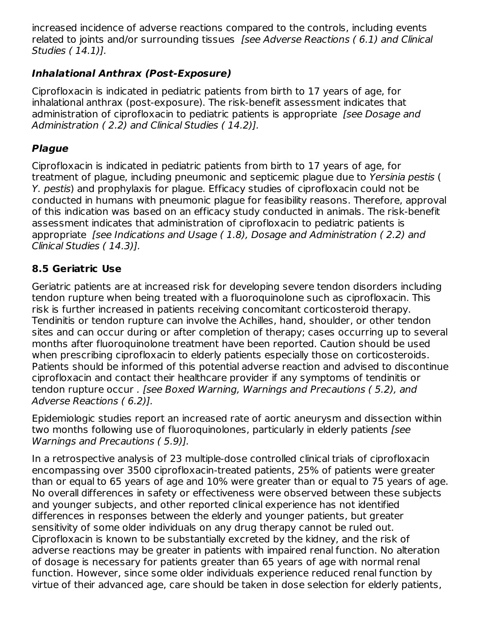increased incidence of adverse reactions compared to the controls, including events related to joints and/or surrounding tissues [see Adverse Reactions ( 6.1) and Clinical Studies ( 14.1)].

# **Inhalational Anthrax (Post-Exposure)**

Ciprofloxacin is indicated in pediatric patients from birth to 17 years of age, for inhalational anthrax (post-exposure). The risk-benefit assessment indicates that administration of ciprofloxacin to pediatric patients is appropriate *[see Dosage and* Administration ( 2.2) and Clinical Studies ( 14.2)].

# **Plague**

Ciprofloxacin is indicated in pediatric patients from birth to 17 years of age, for treatment of plague, including pneumonic and septicemic plague due to Yersinia pestis ( Y. pestis) and prophylaxis for plague. Efficacy studies of ciprofloxacin could not be conducted in humans with pneumonic plague for feasibility reasons. Therefore, approval of this indication was based on an efficacy study conducted in animals. The risk-benefit assessment indicates that administration of ciprofloxacin to pediatric patients is appropriate [see Indications and Usage ( 1.8), Dosage and Administration ( 2.2) and Clinical Studies ( 14.3)].

# **8.5 Geriatric Use**

Geriatric patients are at increased risk for developing severe tendon disorders including tendon rupture when being treated with a fluoroquinolone such as ciprofloxacin. This risk is further increased in patients receiving concomitant corticosteroid therapy. Tendinitis or tendon rupture can involve the Achilles, hand, shoulder, or other tendon sites and can occur during or after completion of therapy; cases occurring up to several months after fluoroquinolone treatment have been reported. Caution should be used when prescribing ciprofloxacin to elderly patients especially those on corticosteroids. Patients should be informed of this potential adverse reaction and advised to discontinue ciprofloxacin and contact their healthcare provider if any symptoms of tendinitis or tendon rupture occur . [see Boxed Warning, Warnings and Precautions ( 5.2), and Adverse Reactions ( 6.2)].

Epidemiologic studies report an increased rate of aortic aneurysm and dissection within two months following use of fluoroquinolones, particularly in elderly patients [see Warnings and Precautions ( 5.9)].

In a retrospective analysis of 23 multiple-dose controlled clinical trials of ciprofloxacin encompassing over 3500 ciprofloxacin-treated patients, 25% of patients were greater than or equal to 65 years of age and 10% were greater than or equal to 75 years of age. No overall differences in safety or effectiveness were observed between these subjects and younger subjects, and other reported clinical experience has not identified differences in responses between the elderly and younger patients, but greater sensitivity of some older individuals on any drug therapy cannot be ruled out. Ciprofloxacin is known to be substantially excreted by the kidney, and the risk of adverse reactions may be greater in patients with impaired renal function. No alteration of dosage is necessary for patients greater than 65 years of age with normal renal function. However, since some older individuals experience reduced renal function by virtue of their advanced age, care should be taken in dose selection for elderly patients,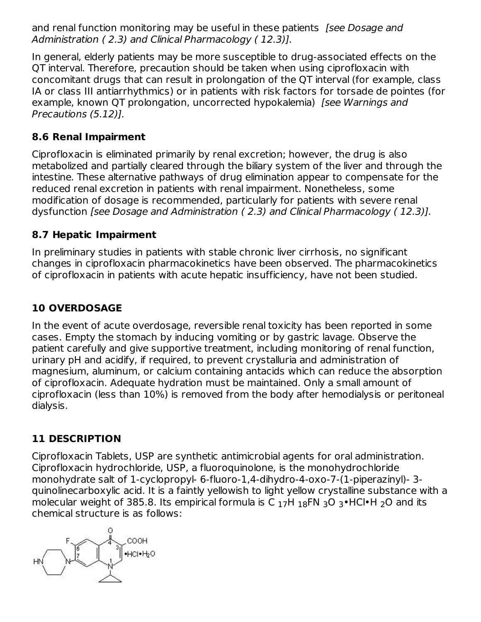and renal function monitoring may be useful in these patients *[see Dosage and* Administration ( 2.3) and Clinical Pharmacology ( 12.3)].

In general, elderly patients may be more susceptible to drug-associated effects on the QT interval. Therefore, precaution should be taken when using ciprofloxacin with concomitant drugs that can result in prolongation of the QT interval (for example, class IA or class III antiarrhythmics) or in patients with risk factors for torsade de pointes (for example, known QT prolongation, uncorrected hypokalemia) *[see Warnings and* Precautions (5.12)].

# **8.6 Renal Impairment**

Ciprofloxacin is eliminated primarily by renal excretion; however, the drug is also metabolized and partially cleared through the biliary system of the liver and through the intestine. These alternative pathways of drug elimination appear to compensate for the reduced renal excretion in patients with renal impairment. Nonetheless, some modification of dosage is recommended, particularly for patients with severe renal dysfunction [see Dosage and Administration ( 2.3) and Clinical Pharmacology ( 12.3)].

## **8.7 Hepatic Impairment**

In preliminary studies in patients with stable chronic liver cirrhosis, no significant changes in ciprofloxacin pharmacokinetics have been observed. The pharmacokinetics of ciprofloxacin in patients with acute hepatic insufficiency, have not been studied.

## **10 OVERDOSAGE**

In the event of acute overdosage, reversible renal toxicity has been reported in some cases. Empty the stomach by inducing vomiting or by gastric lavage. Observe the patient carefully and give supportive treatment, including monitoring of renal function, urinary pH and acidify, if required, to prevent crystalluria and administration of magnesium, aluminum, or calcium containing antacids which can reduce the absorption of ciprofloxacin. Adequate hydration must be maintained. Only a small amount of ciprofloxacin (less than 10%) is removed from the body after hemodialysis or peritoneal dialysis.

# **11 DESCRIPTION**

Ciprofloxacin Tablets, USP are synthetic antimicrobial agents for oral administration. Ciprofloxacin hydrochloride, USP, a fluoroquinolone, is the monohydrochloride monohydrate salt of 1-cyclopropyl- 6-fluoro-1,4-dihydro-4-oxo-7-(1-piperazinyl)- 3 quinolinecarboxylic acid. It is a faintly yellowish to light yellow crystalline substance with a molecular weight of 385.8. Its empirical formula is C  $_{17}$ H  $_{18}$ FN  $_{3}$ O  $_{3}$ •HCl•H  $_{2}$ O and its chemical structure is as follows:

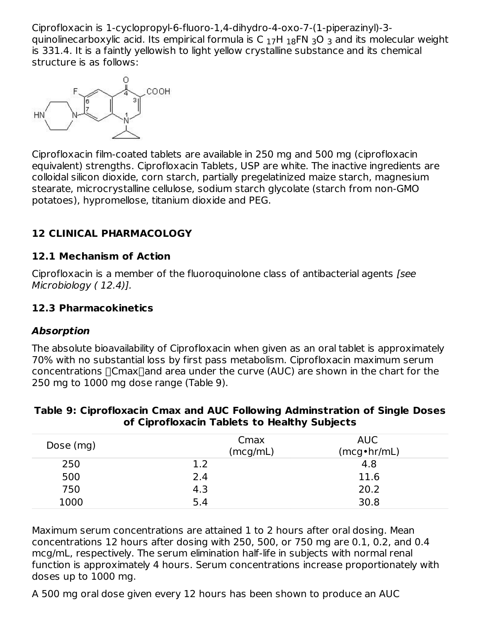Ciprofloxacin is 1-cyclopropyl-6-fluoro-1,4-dihydro-4-oxo-7-(1-piperazinyl)-3 quinolinecarboxylic acid. Its empirical formula is C  $_{17}$ H  $_{18}$ FN  $_{3}$ O  $_{3}$  and its molecular weight is 331.4. It is a faintly yellowish to light yellow crystalline substance and its chemical structure is as follows:



Ciprofloxacin film-coated tablets are available in 250 mg and 500 mg (ciprofloxacin equivalent) strengths. Ciprofloxacin Tablets, USP are white. The inactive ingredients are colloidal silicon dioxide, corn starch, partially pregelatinized maize starch, magnesium stearate, microcrystalline cellulose, sodium starch glycolate (starch from non-GMO potatoes), hypromellose, titanium dioxide and PEG.

# **12 CLINICAL PHARMACOLOGY**

#### **12.1 Mechanism of Action**

Ciprofloxacin is a member of the fluoroquinolone class of antibacterial agents [see Microbiology ( 12.4)].

#### **12.3 Pharmacokinetics**

#### **Absorption**

The absolute bioavailability of Ciprofloxacin when given as an oral tablet is approximately 70% with no substantial loss by first pass metabolism. Ciprofloxacin maximum serum concentrations  $\Box$ Cmax $\Box$ and area under the curve (AUC) are shown in the chart for the 250 mg to 1000 mg dose range (Table 9).

| Dose (mg) |     | Cmax<br>(mcg/mL) | AUC<br>(mcg•hr/mL) |
|-----------|-----|------------------|--------------------|
| 250       | 1.2 |                  | 4.8                |
| 500       | 2.4 |                  | 11.6               |
| 750       | 4.3 |                  | 20.2               |
| 1000      | 5.4 |                  | 30.8               |

#### **Table 9: Ciprofloxacin Cmax and AUC Following Adminstration of Single Doses of Ciprofloxacin Tablets to Healthy Subjects**

Maximum serum concentrations are attained 1 to 2 hours after oral dosing. Mean concentrations 12 hours after dosing with 250, 500, or 750 mg are 0.1, 0.2, and 0.4 mcg/mL, respectively. The serum elimination half-life in subjects with normal renal function is approximately 4 hours. Serum concentrations increase proportionately with doses up to 1000 mg.

A 500 mg oral dose given every 12 hours has been shown to produce an AUC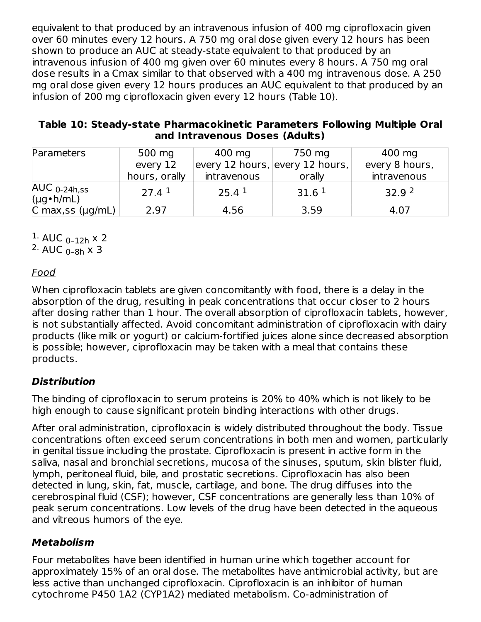equivalent to that produced by an intravenous infusion of 400 mg ciprofloxacin given over 60 minutes every 12 hours. A 750 mg oral dose given every 12 hours has been shown to produce an AUC at steady-state equivalent to that produced by an intravenous infusion of 400 mg given over 60 minutes every 8 hours. A 750 mg oral dose results in a Cmax similar to that observed with a 400 mg intravenous dose. A 250 mg oral dose given every 12 hours produces an AUC equivalent to that produced by an infusion of 200 mg ciprofloxacin given every 12 hours (Table 10).

| Table 10: Steady-state Pharmacokinetic Parameters Following Multiple Oral |  |
|---------------------------------------------------------------------------|--|
| and Intravenous Doses (Adults)                                            |  |

| Parameters                               | 500 mg            | 400 mg            | 750 mg                          | 400 mg            |
|------------------------------------------|-------------------|-------------------|---------------------------------|-------------------|
|                                          | every 12          |                   | every 12 hours, every 12 hours, | every 8 hours,    |
|                                          | hours, orally     | intravenous       | orally                          | intravenous       |
| $AUC_{0-24h,ss}$<br>$(\mu g \cdot h/mL)$ | 27.4 <sup>1</sup> | $25.4^{\text{1}}$ | 31.6 <sup>1</sup>               | 32.9 <sup>2</sup> |
| C max, ss $(\mu g/mL)$                   | 2.97              | 4.56              | 3.59                            | 4.07              |

 $1.$  AUC <sub>0-12h</sub> x 2

 $2.$  AUC  $_{0-8h}$  x 3

# Food

When ciprofloxacin tablets are given concomitantly with food, there is a delay in the absorption of the drug, resulting in peak concentrations that occur closer to 2 hours after dosing rather than 1 hour. The overall absorption of ciprofloxacin tablets, however, is not substantially affected. Avoid concomitant administration of ciprofloxacin with dairy products (like milk or yogurt) or calcium-fortified juices alone since decreased absorption is possible; however, ciprofloxacin may be taken with a meal that contains these products.

# **Distribution**

The binding of ciprofloxacin to serum proteins is 20% to 40% which is not likely to be high enough to cause significant protein binding interactions with other drugs.

After oral administration, ciprofloxacin is widely distributed throughout the body. Tissue concentrations often exceed serum concentrations in both men and women, particularly in genital tissue including the prostate. Ciprofloxacin is present in active form in the saliva, nasal and bronchial secretions, mucosa of the sinuses, sputum, skin blister fluid, lymph, peritoneal fluid, bile, and prostatic secretions. Ciprofloxacin has also been detected in lung, skin, fat, muscle, cartilage, and bone. The drug diffuses into the cerebrospinal fluid (CSF); however, CSF concentrations are generally less than 10% of peak serum concentrations. Low levels of the drug have been detected in the aqueous and vitreous humors of the eye.

# **Metabolism**

Four metabolites have been identified in human urine which together account for approximately 15% of an oral dose. The metabolites have antimicrobial activity, but are less active than unchanged ciprofloxacin. Ciprofloxacin is an inhibitor of human cytochrome P450 1A2 (CYP1A2) mediated metabolism. Co-administration of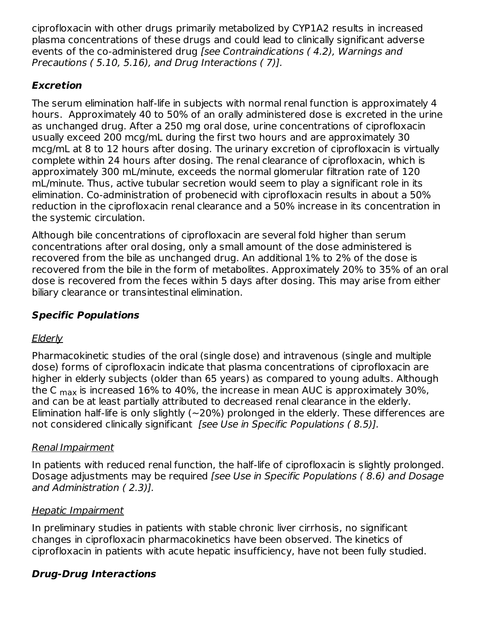ciprofloxacin with other drugs primarily metabolized by CYP1A2 results in increased plasma concentrations of these drugs and could lead to clinically significant adverse events of the co-administered drug [see Contraindications ( 4.2), Warnings and Precautions ( 5.10, 5.16), and Drug Interactions ( 7)].

## **Excretion**

The serum elimination half-life in subjects with normal renal function is approximately 4 hours. Approximately 40 to 50% of an orally administered dose is excreted in the urine as unchanged drug. After a 250 mg oral dose, urine concentrations of ciprofloxacin usually exceed 200 mcg/mL during the first two hours and are approximately 30 mcg/mL at 8 to 12 hours after dosing. The urinary excretion of ciprofloxacin is virtually complete within 24 hours after dosing. The renal clearance of ciprofloxacin, which is approximately 300 mL/minute, exceeds the normal glomerular filtration rate of 120 mL/minute. Thus, active tubular secretion would seem to play a significant role in its elimination. Co-administration of probenecid with ciprofloxacin results in about a 50% reduction in the ciprofloxacin renal clearance and a 50% increase in its concentration in the systemic circulation.

Although bile concentrations of ciprofloxacin are several fold higher than serum concentrations after oral dosing, only a small amount of the dose administered is recovered from the bile as unchanged drug. An additional 1% to 2% of the dose is recovered from the bile in the form of metabolites. Approximately 20% to 35% of an oral dose is recovered from the feces within 5 days after dosing. This may arise from either biliary clearance or transintestinal elimination.

# **Specific Populations**

# **Elderly**

Pharmacokinetic studies of the oral (single dose) and intravenous (single and multiple dose) forms of ciprofloxacin indicate that plasma concentrations of ciprofloxacin are higher in elderly subjects (older than 65 years) as compared to young adults. Although the C  $_{\sf max}$  is increased 16% to 40%, the increase in mean AUC is approximately 30%, and can be at least partially attributed to decreased renal clearance in the elderly. Elimination half-life is only slightly ( $\sim$ 20%) prolonged in the elderly. These differences are not considered clinically significant *[see Use in Specific Populations (8.5)]*.

### Renal Impairment

In patients with reduced renal function, the half-life of ciprofloxacin is slightly prolonged. Dosage adjustments may be required [see Use in Specific Populations ( 8.6) and Dosage and Administration ( 2.3)].

### Hepatic Impairment

In preliminary studies in patients with stable chronic liver cirrhosis, no significant changes in ciprofloxacin pharmacokinetics have been observed. The kinetics of ciprofloxacin in patients with acute hepatic insufficiency, have not been fully studied.

# **Drug-Drug Interactions**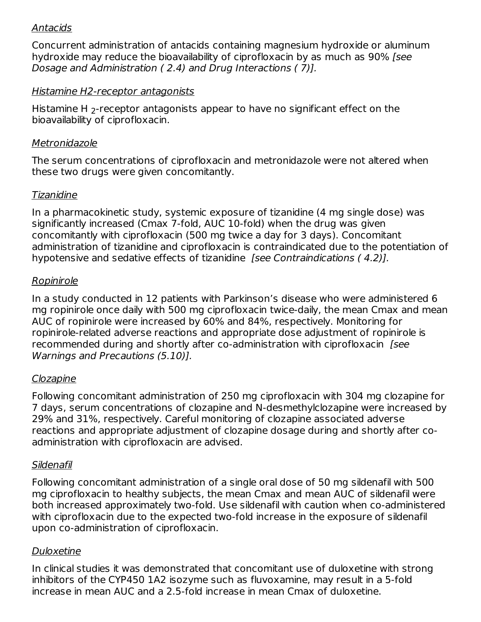### Antacids

Concurrent administration of antacids containing magnesium hydroxide or aluminum hydroxide may reduce the bioavailability of ciprofloxacin by as much as 90% [see Dosage and Administration ( 2.4) and Drug Interactions ( 7)].

#### Histamine H2-receptor antagonists

Histamine H  $_2$ -receptor antagonists appear to have no significant effect on the bioavailability of ciprofloxacin.

#### **Metronidazole**

The serum concentrations of ciprofloxacin and metronidazole were not altered when these two drugs were given concomitantly.

#### Tizanidine

In a pharmacokinetic study, systemic exposure of tizanidine (4 mg single dose) was significantly increased (Cmax 7-fold, AUC 10-fold) when the drug was given concomitantly with ciprofloxacin (500 mg twice a day for 3 days). Concomitant administration of tizanidine and ciprofloxacin is contraindicated due to the potentiation of hypotensive and sedative effects of tizanidine [see Contraindications ( 4.2)].

#### Ropinirole

In a study conducted in 12 patients with Parkinson's disease who were administered 6 mg ropinirole once daily with 500 mg ciprofloxacin twice-daily, the mean Cmax and mean AUC of ropinirole were increased by 60% and 84%, respectively. Monitoring for ropinirole-related adverse reactions and appropriate dose adjustment of ropinirole is recommended during and shortly after co-administration with ciprofloxacin [see Warnings and Precautions (5.10)].

#### Clozapine

Following concomitant administration of 250 mg ciprofloxacin with 304 mg clozapine for 7 days, serum concentrations of clozapine and N-desmethylclozapine were increased by 29% and 31%, respectively. Careful monitoring of clozapine associated adverse reactions and appropriate adjustment of clozapine dosage during and shortly after coadministration with ciprofloxacin are advised.

#### Sildenafil

Following concomitant administration of a single oral dose of 50 mg sildenafil with 500 mg ciprofloxacin to healthy subjects, the mean Cmax and mean AUC of sildenafil were both increased approximately two-fold. Use sildenafil with caution when co-administered with ciprofloxacin due to the expected two-fold increase in the exposure of sildenafil upon co-administration of ciprofloxacin.

#### Duloxetine

In clinical studies it was demonstrated that concomitant use of duloxetine with strong inhibitors of the CYP450 1A2 isozyme such as fluvoxamine, may result in a 5-fold increase in mean AUC and a 2.5-fold increase in mean Cmax of duloxetine.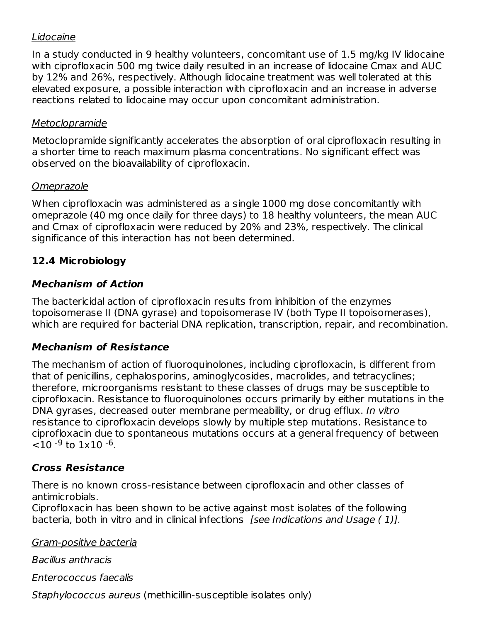### Lidocaine

In a study conducted in 9 healthy volunteers, concomitant use of 1.5 mg/kg IV lidocaine with ciprofloxacin 500 mg twice daily resulted in an increase of lidocaine Cmax and AUC by 12% and 26%, respectively. Although lidocaine treatment was well tolerated at this elevated exposure, a possible interaction with ciprofloxacin and an increase in adverse reactions related to lidocaine may occur upon concomitant administration.

#### **Metoclopramide**

Metoclopramide significantly accelerates the absorption of oral ciprofloxacin resulting in a shorter time to reach maximum plasma concentrations. No significant effect was observed on the bioavailability of ciprofloxacin.

#### **Omeprazole**

When ciprofloxacin was administered as a single 1000 mg dose concomitantly with omeprazole (40 mg once daily for three days) to 18 healthy volunteers, the mean AUC and Cmax of ciprofloxacin were reduced by 20% and 23%, respectively. The clinical significance of this interaction has not been determined.

## **12.4 Microbiology**

## **Mechanism of Action**

The bactericidal action of ciprofloxacin results from inhibition of the enzymes topoisomerase II (DNA gyrase) and topoisomerase IV (both Type II topoisomerases), which are required for bacterial DNA replication, transcription, repair, and recombination.

### **Mechanism of Resistance**

The mechanism of action of fluoroquinolones, including ciprofloxacin, is different from that of penicillins, cephalosporins, aminoglycosides, macrolides, and tetracyclines; therefore, microorganisms resistant to these classes of drugs may be susceptible to ciprofloxacin. Resistance to fluoroquinolones occurs primarily by either mutations in the DNA gyrases, decreased outer membrane permeability, or drug efflux. In vitro resistance to ciprofloxacin develops slowly by multiple step mutations. Resistance to ciprofloxacin due to spontaneous mutations occurs at a general frequency of between  $<$ 10 <sup>-9</sup> to 1x10 <sup>-6</sup>.

### **Cross Resistance**

There is no known cross-resistance between ciprofloxacin and other classes of antimicrobials.

Ciprofloxacin has been shown to be active against most isolates of the following bacteria, both in vitro and in clinical infections [see Indications and Usage (1)].

Gram-positive bacteria

Bacillus anthracis

Enterococcus faecalis

Staphylococcus aureus (methicillin-susceptible isolates only)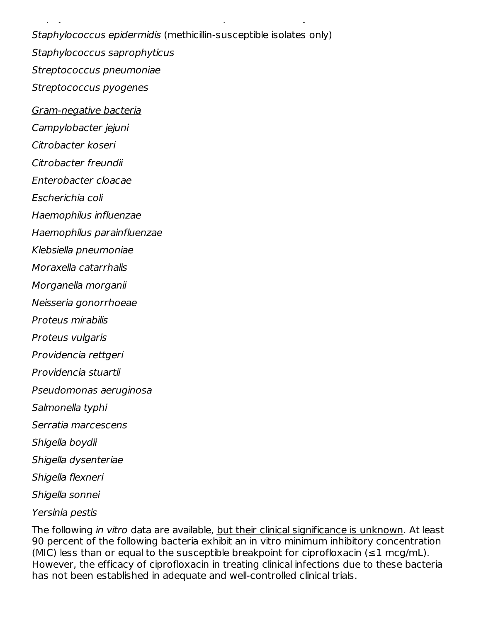Staphylococcus epidermidis (methicillin-susceptible isolates only) Staphylococcus saprophyticus Streptococcus pneumoniae Streptococcus pyogenes

 $S_{\rm eff}$  and  $S_{\rm eff}$  are useful aureus (methods) and  $S_{\rm eff}$  are useful automorphic isolates only  $\sim$ 

Gram-negative bacteria

Campylobacter jejuni

Citrobacter koseri

Citrobacter freundii

Enterobacter cloacae

Escherichia coli

Haemophilus influenzae

Haemophilus parainfluenzae

Klebsiella pneumoniae

Moraxella catarrhalis

Morganella morganii

Neisseria gonorrhoeae

Proteus mirabilis

Proteus vulgaris

Providencia rettgeri

Providencia stuartii

Pseudomonas aeruginosa

Salmonella typhi

Serratia marcescens

Shigella boydii

Shigella dysenteriae

Shigella flexneri

Shigella sonnei

Yersinia pestis

The following *in vitro* data are available, <u>but their clinical significance is unknown</u>. At least 90 percent of the following bacteria exhibit an in vitro minimum inhibitory concentration (MIC) less than or equal to the susceptible breakpoint for ciprofloxacin ( $\leq 1$  mcg/mL). However, the efficacy of ciprofloxacin in treating clinical infections due to these bacteria has not been established in adequate and well-controlled clinical trials.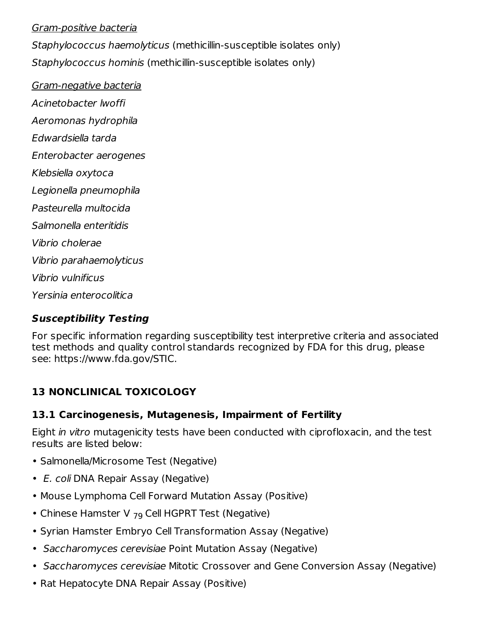#### Gram-positive bacteria

Staphylococcus haemolyticus (methicillin-susceptible isolates only) Staphylococcus hominis (methicillin-susceptible isolates only)

Gram-negative bacteria Acinetobacter lwoffi Aeromonas hydrophila Edwardsiella tarda Enterobacter aerogenes Klebsiella oxytoca Legionella pneumophila Pasteurella multocida Salmonella enteritidis Vibrio cholerae Vibrio parahaemolyticus Vibrio vulnificus Yersinia enterocolitica

#### **Susceptibility Testing**

For specific information regarding susceptibility test interpretive criteria and associated test methods and quality control standards recognized by FDA for this drug, please see: https://www.fda.gov/STIC.

# **13 NONCLINICAL TOXICOLOGY**

#### **13.1 Carcinogenesis, Mutagenesis, Impairment of Fertility**

Eight in vitro mutagenicity tests have been conducted with ciprofloxacin, and the test results are listed below:

- Salmonella/Microsome Test (Negative)
- E. coli DNA Repair Assay (Negative)
- Mouse Lymphoma Cell Forward Mutation Assay (Positive)
- Chinese Hamster V  $_{79}$  Cell HGPRT Test (Negative)
- Syrian Hamster Embryo Cell Transformation Assay (Negative)
- Saccharomyces cerevisiae Point Mutation Assay (Negative)
- Saccharomyces cerevisiae Mitotic Crossover and Gene Conversion Assay (Negative)
- Rat Hepatocyte DNA Repair Assay (Positive)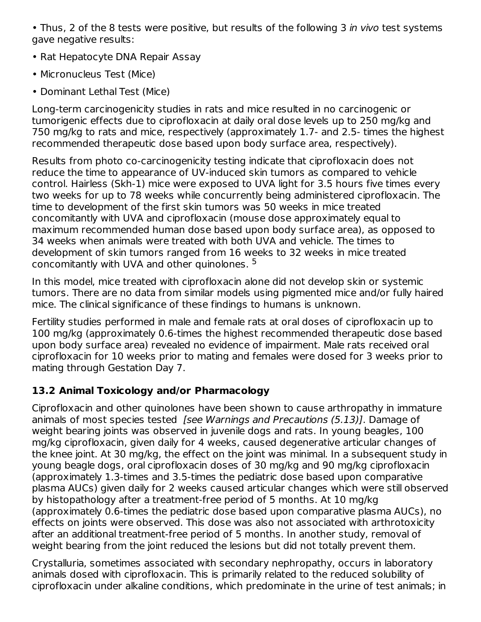• Thus, 2 of the 8 tests were positive, but results of the following 3 in vivo test systems gave negative results:

- Rat Hepatocyte DNA Repair Assay
- Micronucleus Test (Mice)
- Dominant Lethal Test (Mice)

Long-term carcinogenicity studies in rats and mice resulted in no carcinogenic or tumorigenic effects due to ciprofloxacin at daily oral dose levels up to 250 mg/kg and 750 mg/kg to rats and mice, respectively (approximately 1.7- and 2.5- times the highest recommended therapeutic dose based upon body surface area, respectively).

Results from photo co-carcinogenicity testing indicate that ciprofloxacin does not reduce the time to appearance of UV-induced skin tumors as compared to vehicle control. Hairless (Skh-1) mice were exposed to UVA light for 3.5 hours five times every two weeks for up to 78 weeks while concurrently being administered ciprofloxacin. The time to development of the first skin tumors was 50 weeks in mice treated concomitantly with UVA and ciprofloxacin (mouse dose approximately equal to maximum recommended human dose based upon body surface area), as opposed to 34 weeks when animals were treated with both UVA and vehicle. The times to development of skin tumors ranged from 16 weeks to 32 weeks in mice treated concomitantly with UVA and other quinolones. 5

In this model, mice treated with ciprofloxacin alone did not develop skin or systemic tumors. There are no data from similar models using pigmented mice and/or fully haired mice. The clinical significance of these findings to humans is unknown.

Fertility studies performed in male and female rats at oral doses of ciprofloxacin up to 100 mg/kg (approximately 0.6-times the highest recommended therapeutic dose based upon body surface area) revealed no evidence of impairment. Male rats received oral ciprofloxacin for 10 weeks prior to mating and females were dosed for 3 weeks prior to mating through Gestation Day 7.

# **13.2 Animal Toxicology and/or Pharmacology**

Ciprofloxacin and other quinolones have been shown to cause arthropathy in immature animals of most species tested *[see Warnings and Precautions (5.13)]*. Damage of weight bearing joints was observed in juvenile dogs and rats. In young beagles, 100 mg/kg ciprofloxacin, given daily for 4 weeks, caused degenerative articular changes of the knee joint. At 30 mg/kg, the effect on the joint was minimal. In a subsequent study in young beagle dogs, oral ciprofloxacin doses of 30 mg/kg and 90 mg/kg ciprofloxacin (approximately 1.3-times and 3.5-times the pediatric dose based upon comparative plasma AUCs) given daily for 2 weeks caused articular changes which were still observed by histopathology after a treatment-free period of 5 months. At 10 mg/kg (approximately 0.6-times the pediatric dose based upon comparative plasma AUCs), no effects on joints were observed. This dose was also not associated with arthrotoxicity after an additional treatment-free period of 5 months. In another study, removal of weight bearing from the joint reduced the lesions but did not totally prevent them.

Crystalluria, sometimes associated with secondary nephropathy, occurs in laboratory animals dosed with ciprofloxacin. This is primarily related to the reduced solubility of ciprofloxacin under alkaline conditions, which predominate in the urine of test animals; in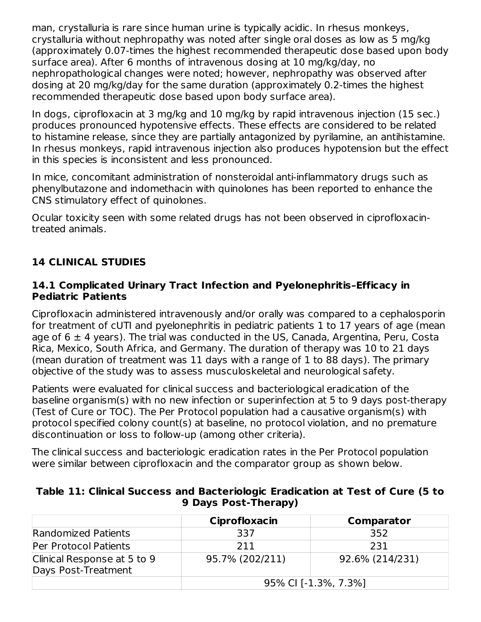man, crystalluria is rare since human urine is typically acidic. In rhesus monkeys, crystalluria without nephropathy was noted after single oral doses as low as 5 mg/kg (approximately 0.07-times the highest recommended therapeutic dose based upon body surface area). After 6 months of intravenous dosing at 10 mg/kg/day, no nephropathological changes were noted; however, nephropathy was observed after dosing at 20 mg/kg/day for the same duration (approximately 0.2-times the highest recommended therapeutic dose based upon body surface area).

In dogs, ciprofloxacin at 3 mg/kg and 10 mg/kg by rapid intravenous injection (15 sec.) produces pronounced hypotensive effects. These effects are considered to be related to histamine release, since they are partially antagonized by pyrilamine, an antihistamine. In rhesus monkeys, rapid intravenous injection also produces hypotension but the effect in this species is inconsistent and less pronounced.

In mice, concomitant administration of nonsteroidal anti-inflammatory drugs such as phenylbutazone and indomethacin with quinolones has been reported to enhance the CNS stimulatory effect of quinolones.

Ocular toxicity seen with some related drugs has not been observed in ciprofloxacintreated animals.

# **14 CLINICAL STUDIES**

#### **14.1 Complicated Urinary Tract Infection and Pyelonephritis–Efficacy in Pediatric Patients**

Ciprofloxacin administered intravenously and/or orally was compared to a cephalosporin for treatment of cUTI and pyelonephritis in pediatric patients 1 to 17 years of age (mean age of  $6 \pm 4$  years). The trial was conducted in the US, Canada, Argentina, Peru, Costa Rica, Mexico, South Africa, and Germany. The duration of therapy was 10 to 21 days (mean duration of treatment was 11 days with a range of 1 to 88 days). The primary objective of the study was to assess musculoskeletal and neurological safety.

Patients were evaluated for clinical success and bacteriological eradication of the baseline organism(s) with no new infection or superinfection at 5 to 9 days post-therapy (Test of Cure or TOC). The Per Protocol population had a causative organism(s) with protocol specified colony count(s) at baseline, no protocol violation, and no premature discontinuation or loss to follow-up (among other criteria).

The clinical success and bacteriologic eradication rates in the Per Protocol population were similar between ciprofloxacin and the comparator group as shown below.

|                                                    | Ciprofloxacin        | Comparator      |
|----------------------------------------------------|----------------------|-----------------|
| Randomized Patients                                | 337                  | 352             |
| Per Protocol Patients                              | 211                  | 231             |
| Clinical Response at 5 to 9<br>Days Post-Treatment | 95.7% (202/211)      | 92.6% (214/231) |
|                                                    | 95% CI [-1.3%, 7.3%] |                 |

#### **Table 11: Clinical Success and Bacteriologic Eradication at Test of Cure (5 to 9 Days Post-Therapy)**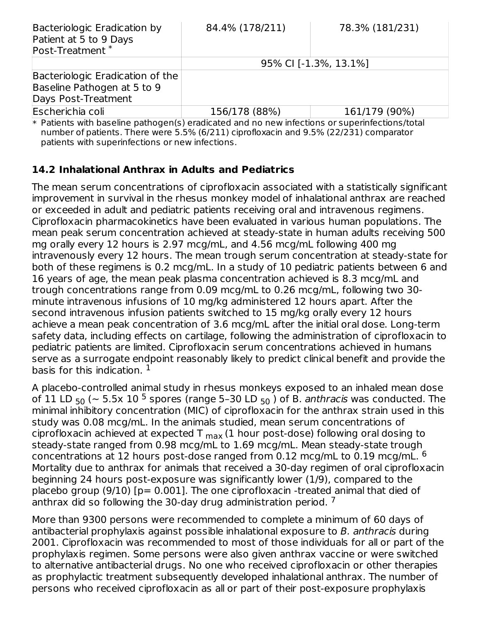| Bacteriologic Eradication by<br>Patient at 5 to 9 Days<br>Post-Treatment <sup>*</sup>                 | 84.4% (178/211) | 78.3% (181/231)       |
|-------------------------------------------------------------------------------------------------------|-----------------|-----------------------|
|                                                                                                       |                 | 95% CI [-1.3%, 13.1%] |
| Bacteriologic Eradication of the<br>Baseline Pathogen at 5 to 9<br>Days Post-Treatment                |                 |                       |
| Escherichia coli                                                                                      | 156/178 (88%)   | 161/179 (90%)         |
| <b>* Patients with baseline nathogen(s) eradicated and no new infections or superinfections/total</b> |                 |                       |

\* ated and no new infections or su number of patients. There were 5.5% (6/211) ciprofloxacin and 9.5% (22/231) comparator patients with superinfections or new infections.

### **14.2 Inhalational Anthrax in Adults and Pediatrics**

The mean serum concentrations of ciprofloxacin associated with a statistically significant improvement in survival in the rhesus monkey model of inhalational anthrax are reached or exceeded in adult and pediatric patients receiving oral and intravenous regimens. Ciprofloxacin pharmacokinetics have been evaluated in various human populations. The mean peak serum concentration achieved at steady-state in human adults receiving 500 mg orally every 12 hours is 2.97 mcg/mL, and 4.56 mcg/mL following 400 mg intravenously every 12 hours. The mean trough serum concentration at steady-state for both of these regimens is 0.2 mcg/mL. In a study of 10 pediatric patients between 6 and 16 years of age, the mean peak plasma concentration achieved is 8.3 mcg/mL and trough concentrations range from 0.09 mcg/mL to 0.26 mcg/mL, following two 30 minute intravenous infusions of 10 mg/kg administered 12 hours apart. After the second intravenous infusion patients switched to 15 mg/kg orally every 12 hours achieve a mean peak concentration of 3.6 mcg/mL after the initial oral dose. Long-term safety data, including effects on cartilage, following the administration of ciprofloxacin to pediatric patients are limited. Ciprofloxacin serum concentrations achieved in humans serve as a surrogate endpoint reasonably likely to predict clinical benefit and provide the basis for this indication.  $^{\rm 1}$ 

A placebo-controlled animal study in rhesus monkeys exposed to an inhaled mean dose of 11 LD  $_{50}$  ( $\sim$  5.5x 10 <sup>5</sup> spores (range 5–30 LD  $_{50}$  ) of B. *anthracis* was conducted. The minimal inhibitory concentration (MIC) of ciprofloxacin for the anthrax strain used in this study was 0.08 mcg/mL. In the animals studied, mean serum concentrations of ciprofloxacin achieved at expected T  $_{\sf max}$  (1 hour post-dose) following oral dosing to steady-state ranged from 0.98 mcg/mL to 1.69 mcg/mL. Mean steady-state trough concentrations at 12 hours post-dose ranged from 0.12 mcg/mL to 0.19 mcg/mL.  $^6$ Mortality due to anthrax for animals that received a 30-day regimen of oral ciprofloxacin beginning 24 hours post-exposure was significantly lower (1/9), compared to the placebo group (9/10) [p= 0.001]. The one ciprofloxacin -treated animal that died of anthrax did so following the 30-day drug administration period.<sup>7</sup>

More than 9300 persons were recommended to complete a minimum of 60 days of antibacterial prophylaxis against possible inhalational exposure to B. anthracis during 2001. Ciprofloxacin was recommended to most of those individuals for all or part of the prophylaxis regimen. Some persons were also given anthrax vaccine or were switched to alternative antibacterial drugs. No one who received ciprofloxacin or other therapies as prophylactic treatment subsequently developed inhalational anthrax. The number of persons who received ciprofloxacin as all or part of their post-exposure prophylaxis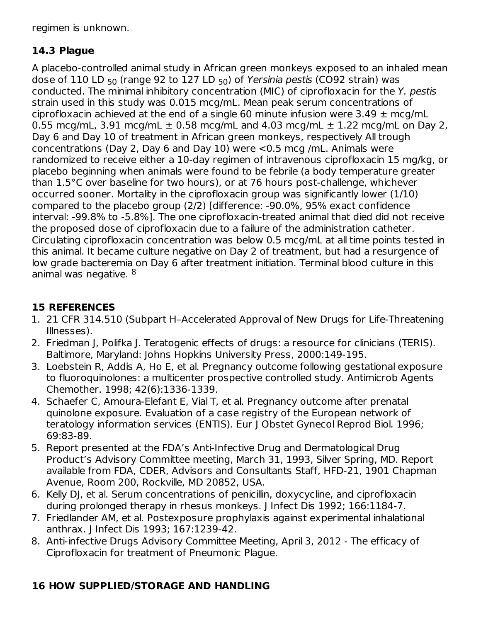regimen is unknown.

# **14.3 Plague**

A placebo-controlled animal study in African green monkeys exposed to an inhaled mean dose of 110 LD <sub>50</sub> (range 92 to 127 LD <sub>50</sub>) of *Yersinia pestis* (CO92 strain) was conducted. The minimal inhibitory concentration (MIC) of ciprofloxacin for the Y. pestis strain used in this study was 0.015 mcg/mL. Mean peak serum concentrations of ciprofloxacin achieved at the end of a single 60 minute infusion were  $3.49 \pm \text{mca/mL}$ 0.55 mcg/mL, 3.91 mcg/mL  $\pm$  0.58 mcg/mL and 4.03 mcg/mL  $\pm$  1.22 mcg/mL on Day 2, Day 6 and Day 10 of treatment in African green monkeys, respectively All trough concentrations (Day 2, Day 6 and Day 10) were <0.5 mcg /mL. Animals were randomized to receive either a 10-day regimen of intravenous ciprofloxacin 15 mg/kg, or placebo beginning when animals were found to be febrile (a body temperature greater than 1.5°C over baseline for two hours), or at 76 hours post-challenge, whichever occurred sooner. Mortality in the ciprofloxacin group was significantly lower (1/10) compared to the placebo group (2/2) [difference: -90.0%, 95% exact confidence interval: -99.8% to -5.8%]. The one ciprofloxacin-treated animal that died did not receive the proposed dose of ciprofloxacin due to a failure of the administration catheter. Circulating ciprofloxacin concentration was below 0.5 mcg/mL at all time points tested in this animal. It became culture negative on Day 2 of treatment, but had a resurgence of low grade bacteremia on Day 6 after treatment initiation. Terminal blood culture in this animal was negative. <sup>8</sup>

# **15 REFERENCES**

- 1. 21 CFR 314.510 (Subpart H–Accelerated Approval of New Drugs for Life-Threatening Illnesses).
- 2. Friedman J, Polifka J. Teratogenic effects of drugs: a resource for clinicians (TERIS). Baltimore, Maryland: Johns Hopkins University Press, 2000:149-195.
- 3. Loebstein R, Addis A, Ho E, et al. Pregnancy outcome following gestational exposure to fluoroquinolones: a multicenter prospective controlled study. Antimicrob Agents Chemother. 1998; 42(6):1336-1339.
- 4. Schaefer C, Amoura-Elefant E, Vial T, et al. Pregnancy outcome after prenatal quinolone exposure. Evaluation of a case registry of the European network of teratology information services (ENTIS). Eur J Obstet Gynecol Reprod Biol. 1996; 69:83-89.
- 5. Report presented at the FDA's Anti-Infective Drug and Dermatological Drug Product's Advisory Committee meeting, March 31, 1993, Silver Spring, MD. Report available from FDA, CDER, Advisors and Consultants Staff, HFD-21, 1901 Chapman Avenue, Room 200, Rockville, MD 20852, USA.
- 6. Kelly DJ, et al. Serum concentrations of penicillin, doxycycline, and ciprofloxacin during prolonged therapy in rhesus monkeys. J Infect Dis 1992; 166:1184-7.
- 7. Friedlander AM, et al. Postexposure prophylaxis against experimental inhalational anthrax. J Infect Dis 1993; 167:1239-42.
- 8. Anti-infective Drugs Advisory Committee Meeting, April 3, 2012 The efficacy of Ciprofloxacin for treatment of Pneumonic Plague.

# **16 HOW SUPPLIED/STORAGE AND HANDLING**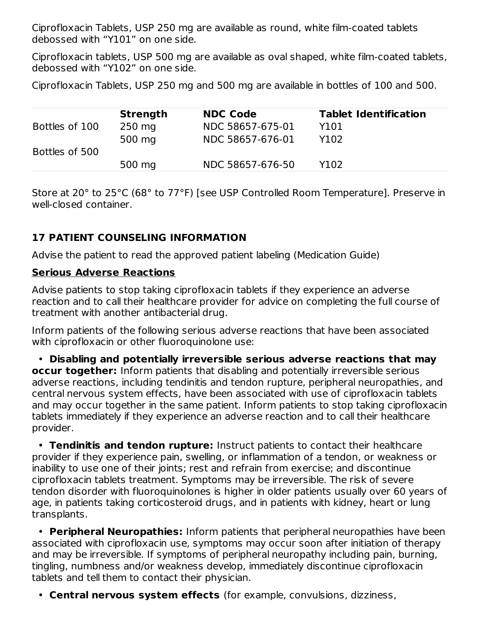Ciprofloxacin Tablets, USP 250 mg are available as round, white film-coated tablets debossed with "Y101" on one side.

Ciprofloxacin tablets, USP 500 mg are available as oval shaped, white film-coated tablets, debossed with "Y102" on one side.

Ciprofloxacin Tablets, USP 250 mg and 500 mg are available in bottles of 100 and 500.

|                | <b>Strength</b> | <b>NDC Code</b>  | <b>Tablet Identification</b> |
|----------------|-----------------|------------------|------------------------------|
| Bottles of 100 | $250$ mg        | NDC 58657-675-01 | Y101                         |
|                | 500 mg          | NDC 58657-676-01 | Y102                         |
| Bottles of 500 |                 |                  |                              |
|                | 500 mg          | NDC 58657-676-50 | Y102                         |

Store at 20° to 25°C (68° to 77°F) [see USP Controlled Room Temperature]. Preserve in well-closed container.

# **17 PATIENT COUNSELING INFORMATION**

Advise the patient to read the approved patient labeling (Medication Guide)

### **Serious Adverse Reactions**

Advise patients to stop taking ciprofloxacin tablets if they experience an adverse reaction and to call their healthcare provider for advice on completing the full course of treatment with another antibacterial drug.

Inform patients of the following serious adverse reactions that have been associated with ciprofloxacin or other fluoroquinolone use:

• **Disabling and potentially irreversible serious adverse reactions that may occur together:** Inform patients that disabling and potentially irreversible serious adverse reactions, including tendinitis and tendon rupture, peripheral neuropathies, and central nervous system effects, have been associated with use of ciprofloxacin tablets and may occur together in the same patient. Inform patients to stop taking ciprofloxacin tablets immediately if they experience an adverse reaction and to call their healthcare provider.

• **Tendinitis and tendon rupture:** Instruct patients to contact their healthcare provider if they experience pain, swelling, or inflammation of a tendon, or weakness or inability to use one of their joints; rest and refrain from exercise; and discontinue ciprofloxacin tablets treatment. Symptoms may be irreversible. The risk of severe tendon disorder with fluoroquinolones is higher in older patients usually over 60 years of age, in patients taking corticosteroid drugs, and in patients with kidney, heart or lung transplants.

• **Peripheral Neuropathies:** Inform patients that peripheral neuropathies have been associated with ciprofloxacin use, symptoms may occur soon after initiation of therapy and may be irreversible. If symptoms of peripheral neuropathy including pain, burning, tingling, numbness and/or weakness develop, immediately discontinue ciprofloxacin tablets and tell them to contact their physician.

• **Central nervous system effects** (for example, convulsions, dizziness,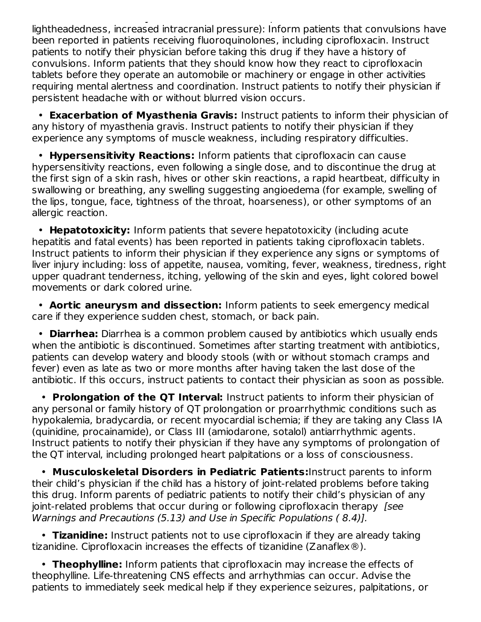• **Central nervous system effects** (for example, convulsions, dizziness, lightheadedness, increased intracranial pressure): Inform patients that convulsions have been reported in patients receiving fluoroquinolones, including ciprofloxacin. Instruct patients to notify their physician before taking this drug if they have a history of convulsions. Inform patients that they should know how they react to ciprofloxacin tablets before they operate an automobile or machinery or engage in other activities requiring mental alertness and coordination. Instruct patients to notify their physician if persistent headache with or without blurred vision occurs.

• **Exacerbation of Myasthenia Gravis:** Instruct patients to inform their physician of any history of myasthenia gravis. Instruct patients to notify their physician if they experience any symptoms of muscle weakness, including respiratory difficulties.

• **Hypersensitivity Reactions:** Inform patients that ciprofloxacin can cause hypersensitivity reactions, even following a single dose, and to discontinue the drug at the first sign of a skin rash, hives or other skin reactions, a rapid heartbeat, difficulty in swallowing or breathing, any swelling suggesting angioedema (for example, swelling of the lips, tongue, face, tightness of the throat, hoarseness), or other symptoms of an allergic reaction.

• **Hepatotoxicity:** Inform patients that severe hepatotoxicity (including acute hepatitis and fatal events) has been reported in patients taking ciprofloxacin tablets. Instruct patients to inform their physician if they experience any signs or symptoms of liver injury including: loss of appetite, nausea, vomiting, fever, weakness, tiredness, right upper quadrant tenderness, itching, yellowing of the skin and eyes, light colored bowel movements or dark colored urine.

• **Aortic aneurysm and dissection:** Inform patients to seek emergency medical care if they experience sudden chest, stomach, or back pain.

• **Diarrhea:** Diarrhea is a common problem caused by antibiotics which usually ends when the antibiotic is discontinued. Sometimes after starting treatment with antibiotics, patients can develop watery and bloody stools (with or without stomach cramps and fever) even as late as two or more months after having taken the last dose of the antibiotic. If this occurs, instruct patients to contact their physician as soon as possible.

• **Prolongation of the QT Interval:** Instruct patients to inform their physician of any personal or family history of QT prolongation or proarrhythmic conditions such as hypokalemia, bradycardia, or recent myocardial ischemia; if they are taking any Class IA (quinidine, procainamide), or Class III (amiodarone, sotalol) antiarrhythmic agents. Instruct patients to notify their physician if they have any symptoms of prolongation of the QT interval, including prolonged heart palpitations or a loss of consciousness.

• **Musculoskeletal Disorders in Pediatric Patients:**Instruct parents to inform their child's physician if the child has a history of joint-related problems before taking this drug. Inform parents of pediatric patients to notify their child's physician of any joint-related problems that occur during or following ciprofloxacin therapy [see Warnings and Precautions (5.13) and Use in Specific Populations ( 8.4)].

• **Tizanidine:** Instruct patients not to use ciprofloxacin if they are already taking tizanidine. Ciprofloxacin increases the effects of tizanidine (Zanaflex®).

• **Theophylline:** Inform patients that ciprofloxacin may increase the effects of theophylline. Life-threatening CNS effects and arrhythmias can occur. Advise the patients to immediately seek medical help if they experience seizures, palpitations, or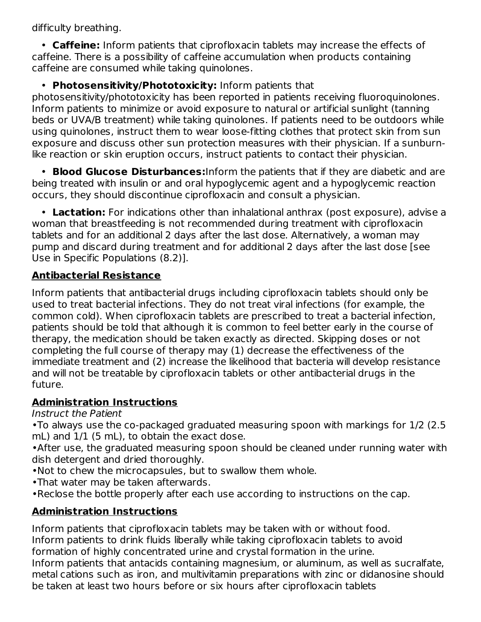difficulty breathing.

• **Caffeine:** Inform patients that ciprofloxacin tablets may increase the effects of caffeine. There is a possibility of caffeine accumulation when products containing caffeine are consumed while taking quinolones.

# • **Photosensitivity/Phototoxicity:** Inform patients that

photosensitivity/phototoxicity has been reported in patients receiving fluoroquinolones. Inform patients to minimize or avoid exposure to natural or artificial sunlight (tanning beds or UVA/B treatment) while taking quinolones. If patients need to be outdoors while using quinolones, instruct them to wear loose-fitting clothes that protect skin from sun exposure and discuss other sun protection measures with their physician. If a sunburnlike reaction or skin eruption occurs, instruct patients to contact their physician.

• **Blood Glucose Disturbances:**Inform the patients that if they are diabetic and are being treated with insulin or and oral hypoglycemic agent and a hypoglycemic reaction occurs, they should discontinue ciprofloxacin and consult a physician.

• **Lactation:** For indications other than inhalational anthrax (post exposure), advise a woman that breastfeeding is not recommended during treatment with ciprofloxacin tablets and for an additional 2 days after the last dose. Alternatively, a woman may pump and discard during treatment and for additional 2 days after the last dose [see Use in Specific Populations (8.2)].

# **Antibacterial Resistance**

Inform patients that antibacterial drugs including ciprofloxacin tablets should only be used to treat bacterial infections. They do not treat viral infections (for example, the common cold). When ciprofloxacin tablets are prescribed to treat a bacterial infection, patients should be told that although it is common to feel better early in the course of therapy, the medication should be taken exactly as directed. Skipping doses or not completing the full course of therapy may (1) decrease the effectiveness of the immediate treatment and (2) increase the likelihood that bacteria will develop resistance and will not be treatable by ciprofloxacin tablets or other antibacterial drugs in the future.

# **Administration Instructions**

Instruct the Patient

•To always use the co-packaged graduated measuring spoon with markings for 1/2 (2.5 mL) and 1/1 (5 mL), to obtain the exact dose.

•After use, the graduated measuring spoon should be cleaned under running water with dish detergent and dried thoroughly.

- •Not to chew the microcapsules, but to swallow them whole.
- •That water may be taken afterwards.
- •Reclose the bottle properly after each use according to instructions on the cap.

# **Administration Instructions**

Inform patients that ciprofloxacin tablets may be taken with or without food. Inform patients to drink fluids liberally while taking ciprofloxacin tablets to avoid formation of highly concentrated urine and crystal formation in the urine.

Inform patients that antacids containing magnesium, or aluminum, as well as sucralfate, metal cations such as iron, and multivitamin preparations with zinc or didanosine should be taken at least two hours before or six hours after ciprofloxacin tablets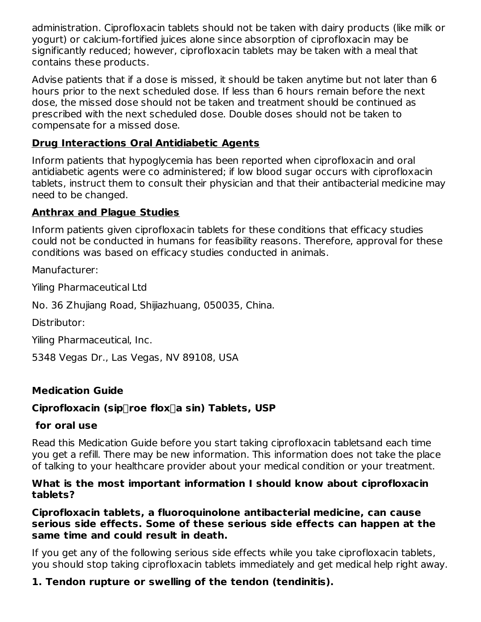administration. Ciprofloxacin tablets should not be taken with dairy products (like milk or yogurt) or calcium-fortified juices alone since absorption of ciprofloxacin may be significantly reduced; however, ciprofloxacin tablets may be taken with a meal that contains these products.

Advise patients that if a dose is missed, it should be taken anytime but not later than 6 hours prior to the next scheduled dose. If less than 6 hours remain before the next dose, the missed dose should not be taken and treatment should be continued as prescribed with the next scheduled dose. Double doses should not be taken to compensate for a missed dose.

### **Drug Interactions Oral Antidiabetic Agents**

Inform patients that hypoglycemia has been reported when ciprofloxacin and oral antidiabetic agents were co administered; if low blood sugar occurs with ciprofloxacin tablets, instruct them to consult their physician and that their antibacterial medicine may need to be changed.

### **Anthrax and Plague Studies**

Inform patients given ciprofloxacin tablets for these conditions that efficacy studies could not be conducted in humans for feasibility reasons. Therefore, approval for these conditions was based on efficacy studies conducted in animals.

Manufacturer:

Yiling Pharmaceutical Ltd

No. 36 Zhujiang Road, Shijiazhuang, 050035, China.

Distributor:

Yiling Pharmaceutical, Inc.

5348 Vegas Dr., Las Vegas, NV 89108, USA

### **Medication Guide**

# **Ciprofloxacin (siproe floxa sin) Tablets, USP**

# **for oral use**

Read this Medication Guide before you start taking ciprofloxacin tabletsand each time you get a refill. There may be new information. This information does not take the place of talking to your healthcare provider about your medical condition or your treatment.

#### **What is the most important information I should know about ciprofloxacin tablets?**

#### **Ciprofloxacin tablets, a fluoroquinolone antibacterial medicine, can cause serious side effects. Some of these serious side effects can happen at the same time and could result in death.**

If you get any of the following serious side effects while you take ciprofloxacin tablets, you should stop taking ciprofloxacin tablets immediately and get medical help right away.

# **1. Tendon rupture or swelling of the tendon (tendinitis).**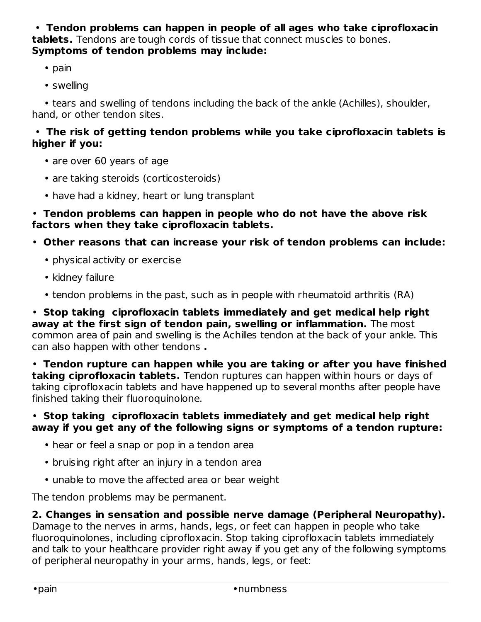• **Tendon problems can happen in people of all ages who take ciprofloxacin tablets.** Tendons are tough cords of tissue that connect muscles to bones. **Symptoms of tendon problems may include:**

- pain
- swelling

• tears and swelling of tendons including the back of the ankle (Achilles), shoulder, hand, or other tendon sites.

### • **The risk of getting tendon problems while you take ciprofloxacin tablets is higher if you:**

- are over 60 years of age
- are taking steroids (corticosteroids)
- have had a kidney, heart or lung transplant

#### • **Tendon problems can happen in people who do not have the above risk factors when they take ciprofloxacin tablets.**

- **Other reasons that can increase your risk of tendon problems can include:**
	- physical activity or exercise
	- kidney failure
	- tendon problems in the past, such as in people with rheumatoid arthritis (RA)

• **Stop taking ciprofloxacin tablets immediately and get medical help right away at the first sign of tendon pain, swelling or inflammation.** The most common area of pain and swelling is the Achilles tendon at the back of your ankle. This can also happen with other tendons **.**

• **Tendon rupture can happen while you are taking or after you have finished taking ciprofloxacin tablets.** Tendon ruptures can happen within hours or days of taking ciprofloxacin tablets and have happened up to several months after people have finished taking their fluoroquinolone.

### • **Stop taking ciprofloxacin tablets immediately and get medical help right away if you get any of the following signs or symptoms of a tendon rupture:**

- hear or feel a snap or pop in a tendon area
- bruising right after an injury in a tendon area
- unable to move the affected area or bear weight

The tendon problems may be permanent.

# **2. Changes in sensation and possible nerve damage (Peripheral Neuropathy).**

Damage to the nerves in arms, hands, legs, or feet can happen in people who take fluoroquinolones, including ciprofloxacin. Stop taking ciprofloxacin tablets immediately and talk to your healthcare provider right away if you get any of the following symptoms of peripheral neuropathy in your arms, hands, legs, or feet: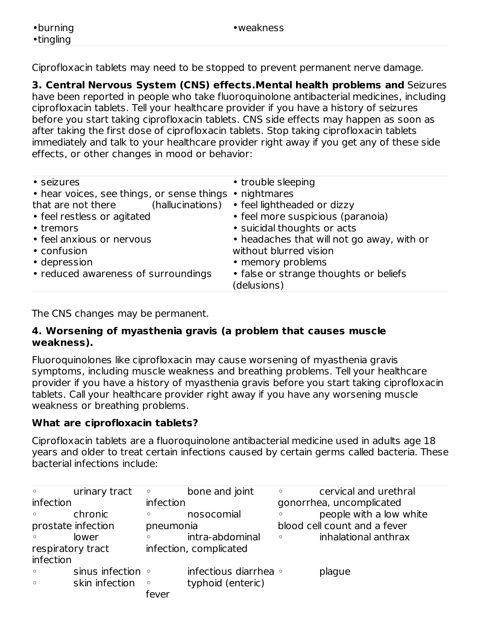Ciprofloxacin tablets may need to be stopped to prevent permanent nerve damage.

**3. Central Nervous System (CNS) effects.Mental health problems and** Seizures have been reported in people who take fluoroquinolone antibacterial medicines, including ciprofloxacin tablets. Tell your healthcare provider if you have a history of seizures before you start taking ciprofloxacin tablets. CNS side effects may happen as soon as after taking the first dose of ciprofloxacin tablets. Stop taking ciprofloxacin tablets immediately and talk to your healthcare provider right away if you get any of these side effects, or other changes in mood or behavior:

| • seizures                                              | • trouble sleeping                         |
|---------------------------------------------------------|--------------------------------------------|
| • hear voices, see things, or sense things • nightmares |                                            |
| (hallucinations)<br>that are not there                  | • feel lightheaded or dizzy                |
| • feel restless or agitated                             | • feel more suspicious (paranoia)          |
| • tremors                                               | · suicidal thoughts or acts                |
| • feel anxious or nervous                               | • headaches that will not go away, with or |
| • confusion                                             | without blurred vision                     |
| • depression                                            | • memory problems                          |
| • reduced awareness of surroundings                     | • false or strange thoughts or beliefs     |
|                                                         | (delusions)                                |
|                                                         |                                            |

The CNS changes may be permanent.

#### **4. Worsening of myasthenia gravis (a problem that causes muscle weakness).**

Fluoroquinolones like ciprofloxacin may cause worsening of myasthenia gravis symptoms, including muscle weakness and breathing problems. Tell your healthcare provider if you have a history of myasthenia gravis before you start taking ciprofloxacin tablets. Call your healthcare provider right away if you have any worsening muscle weakness or breathing problems.

# **What are ciprofloxacin tablets?**

Ciprofloxacin tablets are a fluoroquinolone antibacterial medicine used in adults age 18 years and older to treat certain infections caused by certain germs called bacteria. These bacterial infections include:

| $\circ$           | urinary tract           | $\circ$   | bone and joint         | $\circ$ | cervical and urethral        |
|-------------------|-------------------------|-----------|------------------------|---------|------------------------------|
| infection         |                         | infection |                        |         | gonorrhea, uncomplicated     |
| $\circ$           | chronic                 | $\circ$   | nosocomial             | $\circ$ | people with a low white      |
|                   | prostate infection      | pneumonia |                        |         | blood cell count and a fever |
| $\circ$           | lower                   |           | intra-abdominal        | $\circ$ | inhalational anthrax         |
| respiratory tract |                         |           | infection, complicated |         |                              |
| infection         |                         |           |                        |         |                              |
| $\circ$           | sinus infection $\circ$ |           | infectious diarrhea o  |         | plague                       |
| $\circ$           | skin infection          | $\circ$   | typhoid (enteric)      |         |                              |
|                   |                         | fever     |                        |         |                              |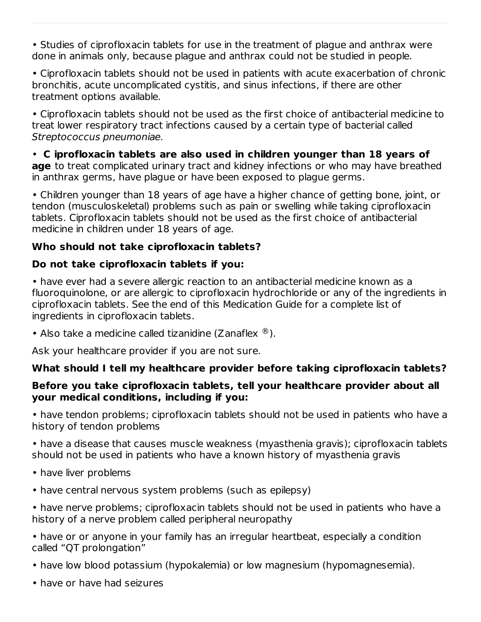• Studies of ciprofloxacin tablets for use in the treatment of plague and anthrax were done in animals only, because plague and anthrax could not be studied in people.

• Ciprofloxacin tablets should not be used in patients with acute exacerbation of chronic bronchitis, acute uncomplicated cystitis, and sinus infections, if there are other treatment options available.

• Ciprofloxacin tablets should not be used as the first choice of antibacterial medicine to treat lower respiratory tract infections caused by a certain type of bacterial called Streptococcus pneumoniae.

• **C iprofloxacin tablets are also used in children younger than 18 years of age** to treat complicated urinary tract and kidney infections or who may have breathed in anthrax germs, have plague or have been exposed to plague germs.

• Children younger than 18 years of age have a higher chance of getting bone, joint, or tendon (musculoskeletal) problems such as pain or swelling while taking ciprofloxacin tablets. Ciprofloxacin tablets should not be used as the first choice of antibacterial medicine in children under 18 years of age.

#### **Who should not take ciprofloxacin tablets?**

#### **Do not take ciprofloxacin tablets if you:**

• have ever had a severe allergic reaction to an antibacterial medicine known as a fluoroquinolone, or are allergic to ciprofloxacin hydrochloride or any of the ingredients in ciprofloxacin tablets. See the end of this Medication Guide for a complete list of ingredients in ciprofloxacin tablets.

• Also take a medicine called tizanidine (Zanaflex  $^{\circledR}$ ).

Ask your healthcare provider if you are not sure.

### **What should I tell my healthcare provider before taking ciprofloxacin tablets?**

#### **Before you take ciprofloxacin tablets, tell your healthcare provider about all your medical conditions, including if you:**

• have tendon problems; ciprofloxacin tablets should not be used in patients who have a history of tendon problems

• have a disease that causes muscle weakness (myasthenia gravis); ciprofloxacin tablets should not be used in patients who have a known history of myasthenia gravis

- have liver problems
- have central nervous system problems (such as epilepsy)
- have nerve problems; ciprofloxacin tablets should not be used in patients who have a history of a nerve problem called peripheral neuropathy
- have or or anyone in your family has an irregular heartbeat, especially a condition called "QT prolongation"
- have low blood potassium (hypokalemia) or low magnesium (hypomagnesemia).
- have or have had seizures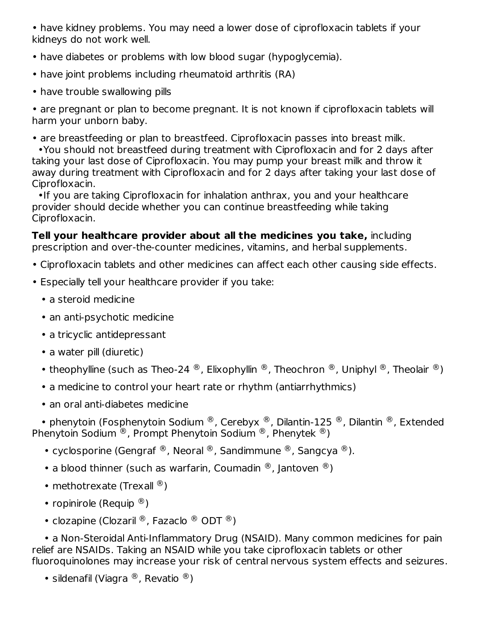• have kidney problems. You may need a lower dose of ciprofloxacin tablets if your kidneys do not work well.

- have diabetes or problems with low blood sugar (hypoglycemia).
- have joint problems including rheumatoid arthritis (RA)
- have trouble swallowing pills

• are pregnant or plan to become pregnant. It is not known if ciprofloxacin tablets will harm your unborn baby.

• are breastfeeding or plan to breastfeed. Ciprofloxacin passes into breast milk.

•You should not breastfeed during treatment with Ciprofloxacin and for 2 days after taking your last dose of Ciprofloxacin. You may pump your breast milk and throw it away during treatment with Ciprofloxacin and for 2 days after taking your last dose of Ciprofloxacin.

•If you are taking Ciprofloxacin for inhalation anthrax, you and your healthcare provider should decide whether you can continue breastfeeding while taking Ciprofloxacin.

**Tell your healthcare provider about all the medicines you take,** including prescription and over-the-counter medicines, vitamins, and herbal supplements.

- Ciprofloxacin tablets and other medicines can affect each other causing side effects.
- Especially tell your healthcare provider if you take:
	- a steroid medicine
	- an anti-psychotic medicine
	- a tricyclic antidepressant
	- a water pill (diuretic)
	- theophylline (such as Theo-24  $^\circledR$ , Elixophyllin  $^\circledR$ , Theochron  $^\circledR$ , Uniphyl  $^\circledR$ , Theolair  $^\circledR)$
	- a medicine to control your heart rate or rhythm (antiarrhythmics)
	- an oral anti-diabetes medicine

• phenytoin (Fosphenytoin Sodium  $^{\circledR}$ , Cerebyx  $^{\circledR}$ , Dilantin-125  $^{\circledR}$ , Dilantin  $^{\circledR}$ , Extended Phenytoin Sodium  $^\circledR$ , Prompt Phenytoin Sodium  $^\circledR$ , Phenytek  $^\circledR$ )

• cyclosporine (Gengraf ®, Neoral ®, Sandimmune ®, Sangcya ®).

- a blood thinner (such as warfarin, Coumadin  $^{\circledR}$ , Jantoven  $^{\circledR}$ )
- methotrexate (Trexall  $^{\circledR}$ )
- ropinirole (Requip  $\mathcal{B}$ )
- clozapine (Clozaril ®, Fazaclo ® ODT ®)

• a Non-Steroidal Anti-Inflammatory Drug (NSAID). Many common medicines for pain relief are NSAIDs. Taking an NSAID while you take ciprofloxacin tablets or other fluoroquinolones may increase your risk of central nervous system effects and seizures.

```
• sildenafil (Viagra ^{\circledR}, Revatio ^{\circledR})
```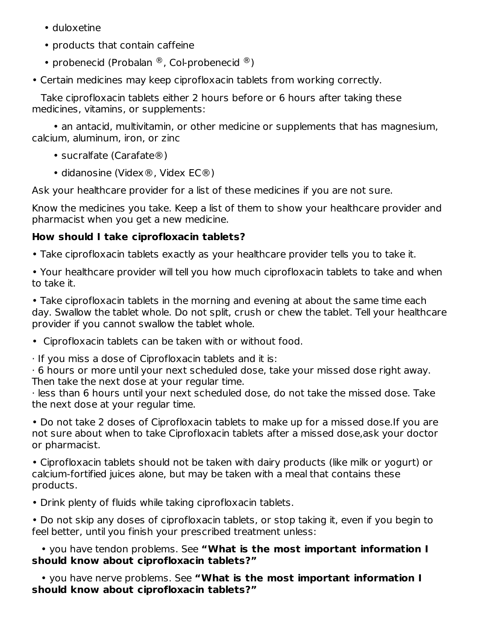- duloxetine
- products that contain caffeine
- probenecid (Probalan ®, Col-probenecid ®)
- Certain medicines may keep ciprofloxacin tablets from working correctly.

Take ciprofloxacin tablets either 2 hours before or 6 hours after taking these medicines, vitamins, or supplements:

• an antacid, multivitamin, or other medicine or supplements that has magnesium, calcium, aluminum, iron, or zinc

- sucralfate (Carafate<sup>®</sup>)
- didanosine (Videx®, Videx EC®)

Ask your healthcare provider for a list of these medicines if you are not sure.

Know the medicines you take. Keep a list of them to show your healthcare provider and pharmacist when you get a new medicine.

# **How should I take ciprofloxacin tablets?**

- Take ciprofloxacin tablets exactly as your healthcare provider tells you to take it.
- Your healthcare provider will tell you how much ciprofloxacin tablets to take and when to take it.

• Take ciprofloxacin tablets in the morning and evening at about the same time each day. Swallow the tablet whole. Do not split, crush or chew the tablet. Tell your healthcare provider if you cannot swallow the tablet whole.

- Ciprofloxacin tablets can be taken with or without food.
- · If you miss a dose of Ciprofloxacin tablets and it is:

· 6 hours or more until your next scheduled dose, take your missed dose right away. Then take the next dose at your regular time.

· less than 6 hours until your next scheduled dose, do not take the missed dose. Take the next dose at your regular time.

• Do not take 2 doses of Ciprofloxacin tablets to make up for a missed dose.If you are not sure about when to take Ciprofloxacin tablets after a missed dose,ask your doctor or pharmacist.

• Ciprofloxacin tablets should not be taken with dairy products (like milk or yogurt) or calcium-fortified juices alone, but may be taken with a meal that contains these products.

• Drink plenty of fluids while taking ciprofloxacin tablets.

• Do not skip any doses of ciprofloxacin tablets, or stop taking it, even if you begin to feel better, until you finish your prescribed treatment unless:

• you have tendon problems. See **"What is the most important information I should know about ciprofloxacin tablets?"**

• you have nerve problems. See **"What is the most important information I should know about ciprofloxacin tablets?"**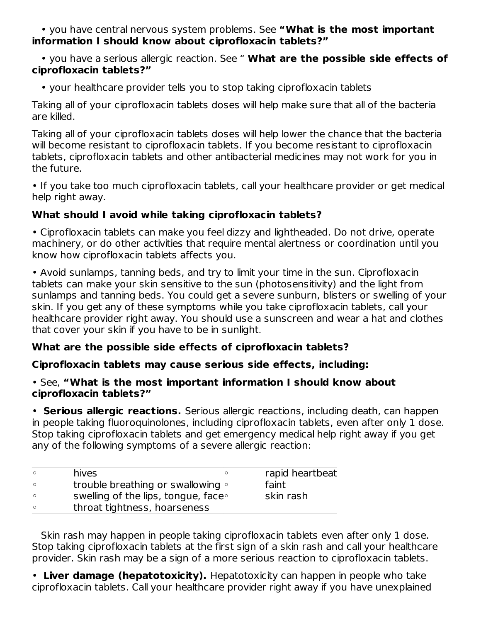• you have central nervous system problems. See **"What is the most important information I should know about ciprofloxacin tablets?"**

• you have a serious allergic reaction. See " **What are the possible side effects of ciprofloxacin tablets?"**

• your healthcare provider tells you to stop taking ciprofloxacin tablets

Taking all of your ciprofloxacin tablets doses will help make sure that all of the bacteria are killed.

Taking all of your ciprofloxacin tablets doses will help lower the chance that the bacteria will become resistant to ciprofloxacin tablets. If you become resistant to ciprofloxacin tablets, ciprofloxacin tablets and other antibacterial medicines may not work for you in the future.

• If you take too much ciprofloxacin tablets, call your healthcare provider or get medical help right away.

### **What should I avoid while taking ciprofloxacin tablets?**

• Ciprofloxacin tablets can make you feel dizzy and lightheaded. Do not drive, operate machinery, or do other activities that require mental alertness or coordination until you know how ciprofloxacin tablets affects you.

• Avoid sunlamps, tanning beds, and try to limit your time in the sun. Ciprofloxacin tablets can make your skin sensitive to the sun (photosensitivity) and the light from sunlamps and tanning beds. You could get a severe sunburn, blisters or swelling of your skin. If you get any of these symptoms while you take ciprofloxacin tablets, call your healthcare provider right away. You should use a sunscreen and wear a hat and clothes that cover your skin if you have to be in sunlight.

# **What are the possible side effects of ciprofloxacin tablets?**

### **Ciprofloxacin tablets may cause serious side effects, including:**

#### • See, **"What is the most important information I should know about ciprofloxacin tablets?"**

• **Serious allergic reactions.** Serious allergic reactions, including death, can happen in people taking fluoroquinolones, including ciprofloxacin tablets, even after only 1 dose. Stop taking ciprofloxacin tablets and get emergency medical help right away if you get any of the following symptoms of a severe allergic reaction:

| $\circ$ | hives                                      | rapid heartbeat |
|---------|--------------------------------------------|-----------------|
| $\circ$ | trouble breathing or swallowing $\circ$    | faint           |
| $\circ$ | swelling of the lips, tongue, face $\circ$ | skin rash       |
| $\circ$ | throat tightness, hoarseness               |                 |

Skin rash may happen in people taking ciprofloxacin tablets even after only 1 dose. Stop taking ciprofloxacin tablets at the first sign of a skin rash and call your healthcare provider. Skin rash may be a sign of a more serious reaction to ciprofloxacin tablets.

• **Liver damage (hepatotoxicity).** Hepatotoxicity can happen in people who take ciprofloxacin tablets. Call your healthcare provider right away if you have unexplained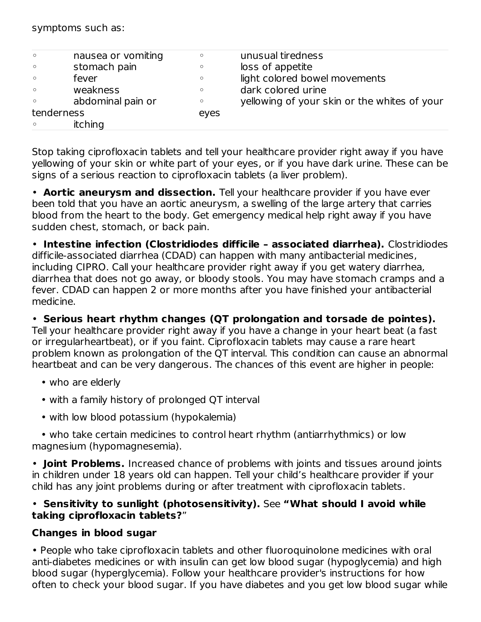symptoms such as:

| $\circ$ | nausea or vomiting | $\circ$ | unusual tiredness                            |
|---------|--------------------|---------|----------------------------------------------|
| $\circ$ | stomach pain       | $\circ$ | loss of appetite                             |
| $\circ$ | fever              | $\circ$ | light colored bowel movements                |
| $\circ$ | weakness           | $\circ$ | dark colored urine                           |
| $\circ$ | abdominal pain or  | $\circ$ | yellowing of your skin or the whites of your |
|         | tenderness         | eyes    |                                              |
| $\circ$ | itching            |         |                                              |

Stop taking ciprofloxacin tablets and tell your healthcare provider right away if you have yellowing of your skin or white part of your eyes, or if you have dark urine. These can be signs of a serious reaction to ciprofloxacin tablets (a liver problem).

• **Aortic aneurysm and dissection.** Tell your healthcare provider if you have ever been told that you have an aortic aneurysm, a swelling of the large artery that carries blood from the heart to the body. Get emergency medical help right away if you have sudden chest, stomach, or back pain.

• **Intestine infection (Clostridiodes difficile – associated diarrhea).** Clostridiodes difficile-associated diarrhea (CDAD) can happen with many antibacterial medicines, including CIPRO. Call your healthcare provider right away if you get watery diarrhea, diarrhea that does not go away, or bloody stools. You may have stomach cramps and a fever. CDAD can happen 2 or more months after you have finished your antibacterial medicine.

• **Serious heart rhythm changes (QT prolongation and torsade de pointes).** Tell your healthcare provider right away if you have a change in your heart beat (a fast or irregularheartbeat), or if you faint. Ciprofloxacin tablets may cause a rare heart problem known as prolongation of the QT interval. This condition can cause an abnormal heartbeat and can be very dangerous. The chances of this event are higher in people:

- who are elderly
- with a family history of prolonged QT interval
- with low blood potassium (hypokalemia)

• who take certain medicines to control heart rhythm (antiarrhythmics) or low magnesium (hypomagnesemia).

• **Joint Problems.** Increased chance of problems with joints and tissues around joints in children under 18 years old can happen. Tell your child's healthcare provider if your child has any joint problems during or after treatment with ciprofloxacin tablets.

#### • **Sensitivity to sunlight (photosensitivity).** See **"What should I avoid while taking ciprofloxacin tablets?**"

### **Changes in blood sugar**

• People who take ciprofloxacin tablets and other fluoroquinolone medicines with oral anti-diabetes medicines or with insulin can get low blood sugar (hypoglycemia) and high blood sugar (hyperglycemia). Follow your healthcare provider's instructions for how often to check your blood sugar. If you have diabetes and you get low blood sugar while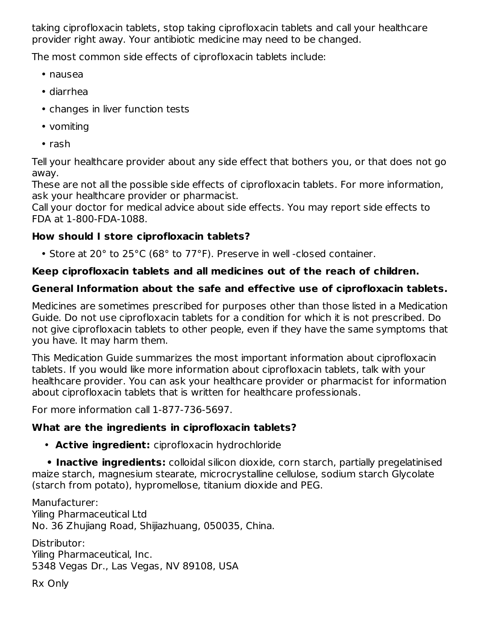taking ciprofloxacin tablets, stop taking ciprofloxacin tablets and call your healthcare provider right away. Your antibiotic medicine may need to be changed.

The most common side effects of ciprofloxacin tablets include:

- nausea
- diarrhea
- changes in liver function tests
- vomiting
- rash

Tell your healthcare provider about any side effect that bothers you, or that does not go away.

These are not all the possible side effects of ciprofloxacin tablets. For more information, ask your healthcare provider or pharmacist.

Call your doctor for medical advice about side effects. You may report side effects to FDA at 1-800-FDA-1088.

## **How should I store ciprofloxacin tablets?**

• Store at 20° to 25°C (68° to 77°F). Preserve in well -closed container.

## **Keep ciprofloxacin tablets and all medicines out of the reach of children.**

# **General Information about the safe and effective use of ciprofloxacin tablets.**

Medicines are sometimes prescribed for purposes other than those listed in a Medication Guide. Do not use ciprofloxacin tablets for a condition for which it is not prescribed. Do not give ciprofloxacin tablets to other people, even if they have the same symptoms that you have. It may harm them.

This Medication Guide summarizes the most important information about ciprofloxacin tablets. If you would like more information about ciprofloxacin tablets, talk with your healthcare provider. You can ask your healthcare provider or pharmacist for information about ciprofloxacin tablets that is written for healthcare professionals.

For more information call 1-877-736-5697.

### **What are the ingredients in ciprofloxacin tablets?**

• **Active ingredient:** ciprofloxacin hydrochloride

**• Inactive ingredients:** colloidal silicon dioxide, corn starch, partially pregelatinised maize starch, magnesium stearate, microcrystalline cellulose, sodium starch Glycolate (starch from potato), hypromellose, titanium dioxide and PEG.

Manufacturer: Yiling Pharmaceutical Ltd No. 36 Zhujiang Road, Shijiazhuang, 050035, China.

Distributor: Yiling Pharmaceutical, Inc. 5348 Vegas Dr., Las Vegas, NV 89108, USA

Rx Only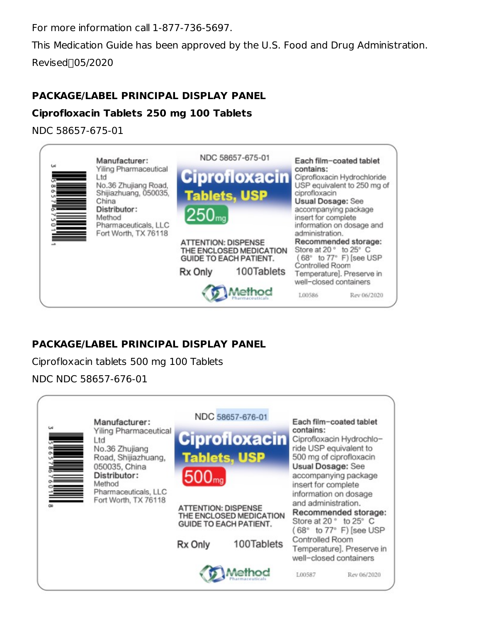For more information call 1-877-736-5697.

This Medication Guide has been approved by the U.S. Food and Drug Administration. Revised<sub>05/2020</sub>

# **PACKAGE/LABEL PRINCIPAL DISPLAY PANEL**

## **Ciprofloxacin Tablets 250 mg 100 Tablets**

NDC 58657-675-01



### **PACKAGE/LABEL PRINCIPAL DISPLAY PANEL**

Ciprofloxacin tablets 500 mg 100 Tablets

### NDC NDC 58657-676-01

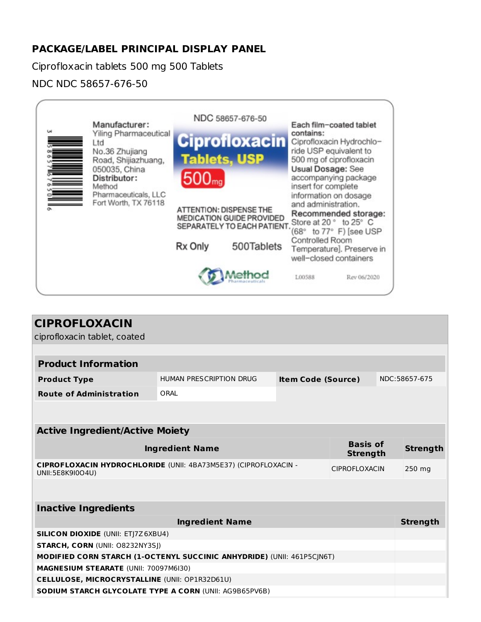## **PACKAGE/LABEL PRINCIPAL DISPLAY PANEL**

Ciprofloxacin tablets 500 mg 500 Tablets

NDC NDC 58657-676-50



| <b>CIPROFLOXACIN</b>                                                                |                                                      |  |                      |  |                 |
|-------------------------------------------------------------------------------------|------------------------------------------------------|--|----------------------|--|-----------------|
| ciprofloxacin tablet, coated                                                        |                                                      |  |                      |  |                 |
|                                                                                     |                                                      |  |                      |  |                 |
| <b>Product Information</b>                                                          |                                                      |  |                      |  |                 |
| <b>Product Type</b>                                                                 | HUMAN PRESCRIPTION DRUG<br><b>Item Code (Source)</b> |  |                      |  | NDC:58657-675   |
| <b>Route of Administration</b>                                                      | ORAL                                                 |  |                      |  |                 |
|                                                                                     |                                                      |  |                      |  |                 |
|                                                                                     |                                                      |  |                      |  |                 |
| <b>Active Ingredient/Active Moiety</b>                                              |                                                      |  |                      |  |                 |
| <b>Basis of</b><br><b>Ingredient Name</b><br><b>Strength</b>                        |                                                      |  |                      |  |                 |
| CIPROFLOXACIN HYDROCHLORIDE (UNII: 4BA73M5E37) (CIPROFLOXACIN -<br>UNII:5E8K9I0O4U) |                                                      |  | <b>CIPROFLOXACIN</b> |  | 250 mg          |
|                                                                                     |                                                      |  |                      |  |                 |
| <b>Inactive Ingredients</b>                                                         |                                                      |  |                      |  |                 |
|                                                                                     | <b>Ingredient Name</b>                               |  |                      |  | <b>Strength</b> |
| <b>SILICON DIOXIDE (UNII: ETJ7Z6XBU4)</b>                                           |                                                      |  |                      |  |                 |
| <b>STARCH, CORN (UNII: O8232NY3SJ)</b>                                              |                                                      |  |                      |  |                 |
| MODIFIED CORN STARCH (1-OCTENYL SUCCINIC ANHYDRIDE) (UNII: 461P5CJN6T)              |                                                      |  |                      |  |                 |
| MAGNESIUM STEARATE (UNII: 70097M6I30)                                               |                                                      |  |                      |  |                 |
| <b>CELLULOSE, MICROCRYSTALLINE (UNII: OP1R32D61U)</b>                               |                                                      |  |                      |  |                 |
| <b>SODIUM STARCH GLYCOLATE TYPE A CORN (UNII: AG9B65PV6B)</b>                       |                                                      |  |                      |  |                 |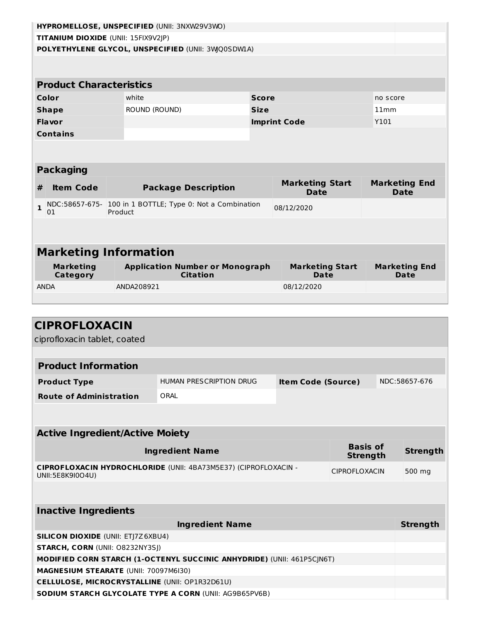| HYPROMELLOSE, UNSPECIFIED (UNII: 3NXW29V3WO) |               |                                                                 |              |                                                                       |                 |          |                      |
|----------------------------------------------|---------------|-----------------------------------------------------------------|--------------|-----------------------------------------------------------------------|-----------------|----------|----------------------|
| TITANIUM DIOXIDE (UNII: 15FIX9V2JP)          |               |                                                                 |              |                                                                       |                 |          |                      |
|                                              |               | POLYETHYLENE GLYCOL, UNSPECIFIED (UNII: 3WQ0SDWLA)              |              |                                                                       |                 |          |                      |
|                                              |               |                                                                 |              |                                                                       |                 |          |                      |
|                                              |               |                                                                 |              |                                                                       |                 |          |                      |
| <b>Product Characteristics</b>               |               |                                                                 |              |                                                                       |                 |          |                      |
| Color                                        | white         |                                                                 | <b>Score</b> |                                                                       |                 | no score |                      |
| <b>Shape</b>                                 | ROUND (ROUND) |                                                                 | <b>Size</b>  |                                                                       |                 | 11mm     |                      |
| <b>Flavor</b>                                |               |                                                                 |              | <b>Imprint Code</b>                                                   |                 | Y101     |                      |
| <b>Contains</b>                              |               |                                                                 |              |                                                                       |                 |          |                      |
|                                              |               |                                                                 |              |                                                                       |                 |          |                      |
|                                              |               |                                                                 |              |                                                                       |                 |          |                      |
| <b>Packaging</b>                             |               |                                                                 |              |                                                                       |                 |          |                      |
|                                              |               |                                                                 |              | <b>Marketing Start</b>                                                |                 |          | <b>Marketing End</b> |
| <b>Item Code</b><br>#                        |               | <b>Package Description</b>                                      |              | <b>Date</b>                                                           |                 |          | <b>Date</b>          |
| $\mathbf{1}$                                 |               | NDC:58657-675- 100 in 1 BOTTLE; Type 0: Not a Combination       |              | 08/12/2020                                                            |                 |          |                      |
| 01                                           | Product       |                                                                 |              |                                                                       |                 |          |                      |
|                                              |               |                                                                 |              |                                                                       |                 |          |                      |
|                                              |               |                                                                 |              |                                                                       |                 |          |                      |
| <b>Marketing Information</b>                 |               |                                                                 |              |                                                                       |                 |          |                      |
|                                              |               |                                                                 |              |                                                                       |                 |          |                      |
| <b>Marketing</b><br>Category                 |               | <b>Application Number or Monograph</b><br><b>Citation</b>       |              | <b>Marketing Start</b><br><b>Marketing End</b><br><b>Date</b><br>Date |                 |          |                      |
| <b>ANDA</b>                                  | ANDA208921    |                                                                 |              | 08/12/2020                                                            |                 |          |                      |
|                                              |               |                                                                 |              |                                                                       |                 |          |                      |
|                                              |               |                                                                 |              |                                                                       |                 |          |                      |
|                                              |               |                                                                 |              |                                                                       |                 |          |                      |
| <b>CIPROFLOXACIN</b>                         |               |                                                                 |              |                                                                       |                 |          |                      |
| ciprofloxacin tablet, coated                 |               |                                                                 |              |                                                                       |                 |          |                      |
|                                              |               |                                                                 |              |                                                                       |                 |          |                      |
| <b>Product Information</b>                   |               |                                                                 |              |                                                                       |                 |          |                      |
| <b>Product Type</b>                          |               | HUMAN PRESCRIPTION DRUG                                         |              | <b>Item Code (Source)</b>                                             |                 |          | NDC:58657-676        |
| <b>Route of Administration</b>               |               | ORAL                                                            |              |                                                                       |                 |          |                      |
|                                              |               |                                                                 |              |                                                                       |                 |          |                      |
|                                              |               |                                                                 |              |                                                                       |                 |          |                      |
|                                              |               |                                                                 |              |                                                                       |                 |          |                      |
|                                              |               |                                                                 |              |                                                                       |                 |          |                      |
| <b>Active Ingredient/Active Moiety</b>       |               |                                                                 |              |                                                                       |                 |          |                      |
|                                              |               | <b>Ingredient Name</b>                                          |              |                                                                       | <b>Basis of</b> |          | <b>Strength</b>      |
|                                              |               |                                                                 |              |                                                                       | <b>Strength</b> |          |                      |
| UNII:5E8K9I0O4U)                             |               | CIPROFLOXACIN HYDROCHLORIDE (UNII: 4BA73M5E37) (CIPROFLOXACIN - |              |                                                                       | CIPROFLOXACIN   |          | 500 mg               |

| <b>Inactive Ingredients</b>                                                   |                 |
|-------------------------------------------------------------------------------|-----------------|
| <b>Ingredient Name</b>                                                        | <b>Strength</b> |
| <b>SILICON DIOXIDE (UNII: ETI7Z6XBU4)</b>                                     |                 |
| <b>STARCH, CORN (UNII: 08232NY3SI)</b>                                        |                 |
| <b>MODIFIED CORN STARCH (1-OCTENYL SUCCINIC ANHYDRIDE) (UNII: 461P5CIN6T)</b> |                 |
| <b>MAGNESIUM STEARATE (UNII: 70097M6I30)</b>                                  |                 |
| <b>CELLULOSE, MICROCRYSTALLINE (UNII: OP1R32D61U)</b>                         |                 |
| <b>SODIUM STARCH GLYCOLATE TYPE A CORN (UNII: AG9B65PV6B)</b>                 |                 |